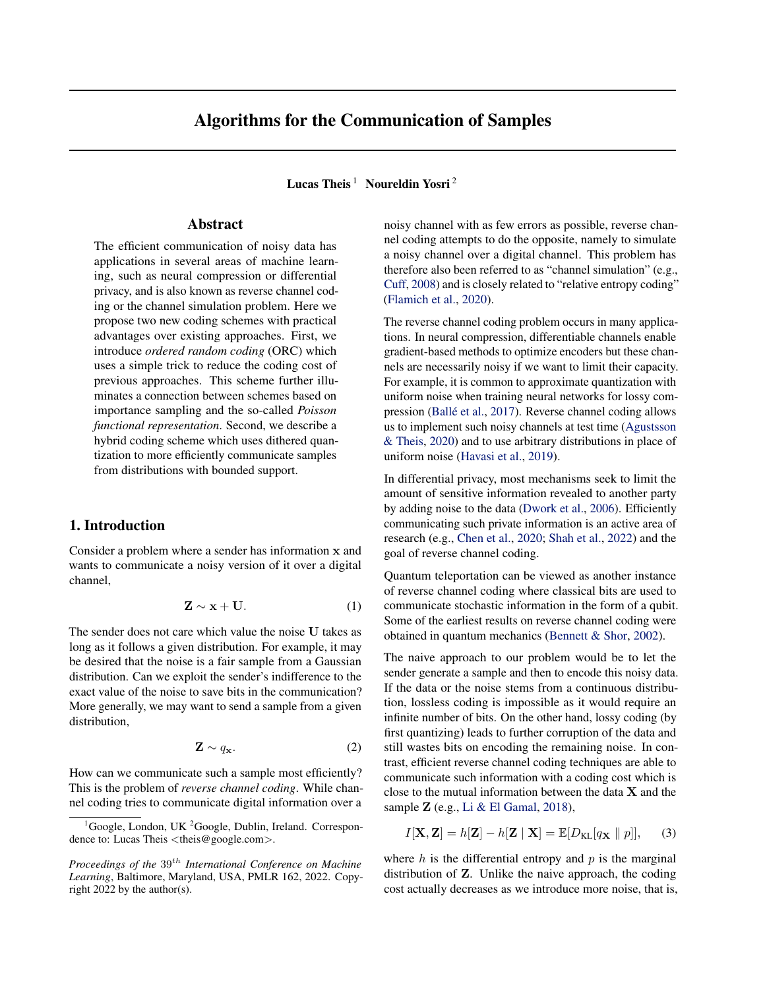# Algorithms for the Communication of Samples

Lucas Theis<sup>1</sup> Noureldin Yosri<sup>2</sup>

## Abstract

The efficient communication of noisy data has applications in several areas of machine learning, such as neural compression or differential privacy, and is also known as reverse channel coding or the channel simulation problem. Here we propose two new coding schemes with practical advantages over existing approaches. First, we introduce *ordered random coding* (ORC) which uses a simple trick to reduce the coding cost of previous approaches. This scheme further illuminates a connection between schemes based on importance sampling and the so-called *Poisson functional representation*. Second, we describe a hybrid coding scheme which uses dithered quantization to more efficiently communicate samples from distributions with bounded support.

## 1. Introduction

Consider a problem where a sender has information x and wants to communicate a noisy version of it over a digital channel,

$$
\mathbf{Z} \sim \mathbf{x} + \mathbf{U}.\tag{1}
$$

The sender does not care which value the noise U takes as long as it follows a given distribution. For example, it may be desired that the noise is a fair sample from a Gaussian distribution. Can we exploit the sender's indifference to the exact value of the noise to save bits in the communication? More generally, we may want to send a sample from a given distribution,

$$
\mathbf{Z} \sim q_{\mathbf{x}}.\tag{2}
$$

How can we communicate such a sample most efficiently? This is the problem of *reverse channel coding*. While channel coding tries to communicate digital information over a

noisy channel with as few errors as possible, reverse channel coding attempts to do the opposite, namely to simulate a noisy channel over a digital channel. This problem has therefore also been referred to as "channel simulation" (e.g., [Cuff,](#page-8-0) [2008\)](#page-8-0) and is closely related to "relative entropy coding" [\(Flamich et al.,](#page-8-1) [2020\)](#page-8-1).

The reverse channel coding problem occurs in many applications. In neural compression, differentiable channels enable gradient-based methods to optimize encoders but these channels are necessarily noisy if we want to limit their capacity. For example, it is common to approximate quantization with uniform noise when training neural networks for lossy com-pression (Ballé et al., [2017\)](#page-8-2). Reverse channel coding allows us to implement such noisy channels at test time [\(Agustsson](#page-8-3) [& Theis,](#page-8-3) [2020\)](#page-8-3) and to use arbitrary distributions in place of uniform noise [\(Havasi et al.,](#page-9-0) [2019\)](#page-9-0).

In differential privacy, most mechanisms seek to limit the amount of sensitive information revealed to another party by adding noise to the data [\(Dwork et al.,](#page-8-4) [2006\)](#page-8-4). Efficiently communicating such private information is an active area of research (e.g., [Chen et al.,](#page-8-5) [2020;](#page-8-5) [Shah et al.,](#page-9-1) [2022\)](#page-9-1) and the goal of reverse channel coding.

Quantum teleportation can be viewed as another instance of reverse channel coding where classical bits are used to communicate stochastic information in the form of a qubit. Some of the earliest results on reverse channel coding were obtained in quantum mechanics [\(Bennett & Shor,](#page-8-6) [2002\)](#page-8-6).

The naive approach to our problem would be to let the sender generate a sample and then to encode this noisy data. If the data or the noise stems from a continuous distribution, lossless coding is impossible as it would require an infinite number of bits. On the other hand, lossy coding (by first quantizing) leads to further corruption of the data and still wastes bits on encoding the remaining noise. In contrast, efficient reverse channel coding techniques are able to communicate such information with a coding cost which is close to the mutual information between the data  $X$  and the sample  $\mathbf Z$  (e.g., [Li & El Gamal,](#page-9-2) [2018\)](#page-9-2),

$$
I[\mathbf{X}, \mathbf{Z}] = h[\mathbf{Z}] - h[\mathbf{Z} | \mathbf{X}] = \mathbb{E}[D_{\mathrm{KL}}[q_{\mathbf{X}} || p]], \quad (3)
$$

where  $h$  is the differential entropy and  $p$  is the marginal distribution of Z. Unlike the naive approach, the coding cost actually decreases as we introduce more noise, that is,

 ${}^{1}$ Google, London, UK  ${}^{2}$ Google, Dublin, Ireland. Correspondence to: Lucas Theis  $\langle$ theis@google.com $\rangle$ .

*Proceedings of the*  $39<sup>th</sup>$  *International Conference on Machine Learning*, Baltimore, Maryland, USA, PMLR 162, 2022. Copyright 2022 by the author(s).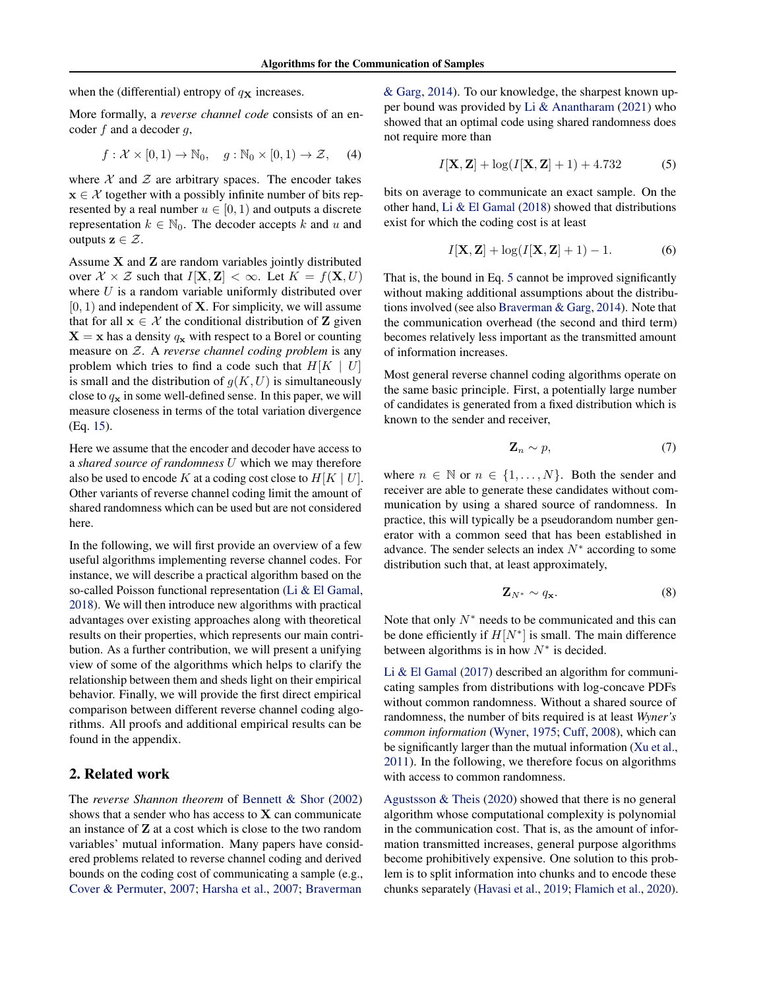when the (differential) entropy of  $q<sub>X</sub>$  increases.

More formally, a *reverse channel code* consists of an encoder  $f$  and a decoder  $g$ ,

$$
f: \mathcal{X} \times [0, 1) \to \mathbb{N}_0, \quad g: \mathbb{N}_0 \times [0, 1) \to \mathcal{Z}, \quad (4)
$$

where  $X$  and  $Z$  are arbitrary spaces. The encoder takes  $x \in \mathcal{X}$  together with a possibly infinite number of bits represented by a real number  $u \in [0, 1)$  and outputs a discrete representation  $k \in \mathbb{N}_0$ . The decoder accepts k and u and outputs  $z \in \mathcal{Z}$ .

Assume X and Z are random variables jointly distributed over  $\mathcal{X} \times \mathcal{Z}$  such that  $I[\mathbf{X}, \mathbf{Z}] < \infty$ . Let  $K = f(\mathbf{X}, U)$ where  $U$  is a random variable uniformly distributed over  $[0, 1)$  and independent of **X**. For simplicity, we will assume that for all  $x \in \mathcal{X}$  the conditional distribution of Z given  $X = x$  has a density  $q_x$  with respect to a Borel or counting measure on Z. A *reverse channel coding problem* is any problem which tries to find a code such that  $H[K \mid U]$ is small and the distribution of  $g(K, U)$  is simultaneously close to  $q_x$  in some well-defined sense. In this paper, we will measure closeness in terms of the total variation divergence (Eq. [15\)](#page-2-0).

Here we assume that the encoder and decoder have access to a *shared source of randomness* U which we may therefore also be used to encode K at a coding cost close to  $H[K | U]$ . Other variants of reverse channel coding limit the amount of shared randomness which can be used but are not considered here.

In the following, we will first provide an overview of a few useful algorithms implementing reverse channel codes. For instance, we will describe a practical algorithm based on the so-called Poisson functional representation [\(Li & El Gamal,](#page-9-2) [2018\)](#page-9-2). We will then introduce new algorithms with practical advantages over existing approaches along with theoretical results on their properties, which represents our main contribution. As a further contribution, we will present a unifying view of some of the algorithms which helps to clarify the relationship between them and sheds light on their empirical behavior. Finally, we will provide the first direct empirical comparison between different reverse channel coding algorithms. All proofs and additional empirical results can be found in the appendix.

## 2. Related work

The *reverse Shannon theorem* of [Bennett & Shor](#page-8-6) [\(2002\)](#page-8-6) shows that a sender who has access to  $X$  can communicate an instance of Z at a cost which is close to the two random variables' mutual information. Many papers have considered problems related to reverse channel coding and derived bounds on the coding cost of communicating a sample (e.g., [Cover & Permuter,](#page-8-7) [2007;](#page-8-7) [Harsha et al.,](#page-9-3) [2007;](#page-9-3) [Braverman](#page-8-8)

[& Garg,](#page-8-8) [2014\)](#page-8-8). To our knowledge, the sharpest known upper bound was provided by [Li & Anantharam](#page-9-4) [\(2021\)](#page-9-4) who showed that an optimal code using shared randomness does not require more than

<span id="page-1-0"></span>
$$
I[X, Z] + \log(I[X, Z] + 1) + 4.732 \tag{5}
$$

bits on average to communicate an exact sample. On the other hand, [Li & El Gamal](#page-9-2) [\(2018\)](#page-9-2) showed that distributions exist for which the coding cost is at least

$$
I[\mathbf{X}, \mathbf{Z}] + \log(I[\mathbf{X}, \mathbf{Z}] + 1) - 1.
$$
 (6)

That is, the bound in Eq. [5](#page-1-0) cannot be improved significantly without making additional assumptions about the distributions involved (see also [Braverman & Garg,](#page-8-8) [2014\)](#page-8-8). Note that the communication overhead (the second and third term) becomes relatively less important as the transmitted amount of information increases.

Most general reverse channel coding algorithms operate on the same basic principle. First, a potentially large number of candidates is generated from a fixed distribution which is known to the sender and receiver,

$$
\mathbf{Z}_n \sim p,\tag{7}
$$

where  $n \in \mathbb{N}$  or  $n \in \{1, \ldots, N\}$ . Both the sender and receiver are able to generate these candidates without communication by using a shared source of randomness. In practice, this will typically be a pseudorandom number generator with a common seed that has been established in advance. The sender selects an index  $N^*$  according to some distribution such that, at least approximately,

$$
\mathbf{Z}_{N^*} \sim q_{\mathbf{x}}.\tag{8}
$$

Note that only  $N^*$  needs to be communicated and this can be done efficiently if  $H[N^*]$  is small. The main difference between algorithms is in how  $N^*$  is decided.

[Li & El Gamal](#page-9-5) [\(2017\)](#page-9-5) described an algorithm for communicating samples from distributions with log-concave PDFs without common randomness. Without a shared source of randomness, the number of bits required is at least *Wyner's common information* [\(Wyner,](#page-9-6) [1975;](#page-9-6) [Cuff,](#page-8-0) [2008\)](#page-8-0), which can be significantly larger than the mutual information [\(Xu et al.,](#page-9-7) [2011\)](#page-9-7). In the following, we therefore focus on algorithms with access to common randomness.

[Agustsson & Theis](#page-8-3) [\(2020\)](#page-8-3) showed that there is no general algorithm whose computational complexity is polynomial in the communication cost. That is, as the amount of information transmitted increases, general purpose algorithms become prohibitively expensive. One solution to this problem is to split information into chunks and to encode these chunks separately [\(Havasi et al.,](#page-9-0) [2019;](#page-9-0) [Flamich et al.,](#page-8-1) [2020\)](#page-8-1).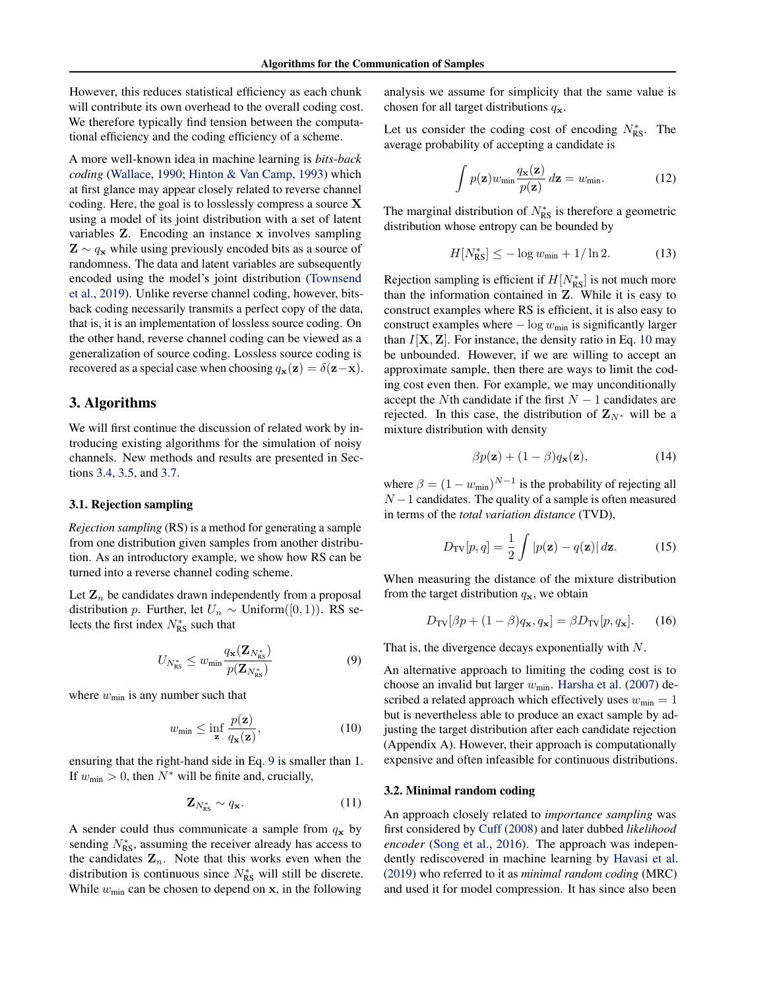However, this reduces statistical efficiency as each chunk will contribute its own overhead to the overall coding cost. We therefore typically find tension between the computational efficiency and the coding efficiency of a scheme.

A more well-known idea in machine learning is *bits-back coding* [\(Wallace,](#page-9-8) [1990;](#page-9-8) [Hinton & Van Camp,](#page-9-9) [1993\)](#page-9-9) which at first glance may appear closely related to reverse channel coding. Here, the goal is to losslessly compress a source X using a model of its joint distribution with a set of latent variables Z. Encoding an instance x involves sampling  $\mathbf{Z} \sim q_{\mathbf{x}}$  while using previously encoded bits as a source of randomness. The data and latent variables are subsequently encoded using the model's joint distribution [\(Townsend](#page-9-10) [et al.,](#page-9-10) [2019\)](#page-9-10). Unlike reverse channel coding, however, bitsback coding necessarily transmits a perfect copy of the data, that is, it is an implementation of lossless source coding. On the other hand, reverse channel coding can be viewed as a generalization of source coding. Lossless source coding is recovered as a special case when choosing  $q_{\mathbf{x}}(\mathbf{z}) = \delta(\mathbf{z}-\mathbf{x})$ .

## 3. Algorithms

We will first continue the discussion of related work by introducing existing algorithms for the simulation of noisy channels. New methods and results are presented in Sections [3.4,](#page-3-0) [3.5,](#page-4-0) and [3.7.](#page-5-0)

#### 3.1. Rejection sampling

*Rejection sampling* (RS) is a method for generating a sample from one distribution given samples from another distribution. As an introductory example, we show how RS can be turned into a reverse channel coding scheme.

Let  $\mathbf{Z}_n$  be candidates drawn independently from a proposal distribution p. Further, let  $U_n \sim$  Uniform([0, 1)). RS selects the first index  $N_{\text{RS}}^*$  such that

$$
U_{N_{\rm RS}^*} \le w_{\min} \frac{q_{\mathbf{x}}(\mathbf{Z}_{N_{\rm RS}^*})}{p(\mathbf{Z}_{N_{\rm RS}^*})}
$$
(9)

where  $w_{\text{min}}$  is any number such that

$$
w_{\min} \le \inf_{\mathbf{z}} \frac{p(\mathbf{z})}{q_{\mathbf{x}}(\mathbf{z})},\tag{10}
$$

ensuring that the right-hand side in Eq. [9](#page-2-1) is smaller than 1. If  $w_{\text{min}} > 0$ , then  $N^*$  will be finite and, crucially,

$$
\mathbf{Z}_{N_{\rm RS}^*} \sim q_{\mathbf{x}}.\tag{11}
$$

A sender could thus communicate a sample from  $q_x$  by sending  $N_{RS}^*$ , assuming the receiver already has access to the candidates  $\mathbf{Z}_n$ . Note that this works even when the distribution is continuous since  $N_{RS}^*$  will still be discrete. While  $w_{\text{min}}$  can be chosen to depend on x, in the following

analysis we assume for simplicity that the same value is chosen for all target distributions  $q_{\mathbf{x}}$ .

Let us consider the coding cost of encoding  $N_{\text{RS}}^*$ . The average probability of accepting a candidate is

$$
\int p(\mathbf{z})w_{\min}\frac{q_{\mathbf{x}}(\mathbf{z})}{p(\mathbf{z})}d\mathbf{z}=w_{\min}.
$$
 (12)

The marginal distribution of  $N_{\text{RS}}^*$  is therefore a geometric distribution whose entropy can be bounded by

$$
H[N_{\rm RS}^*] \le -\log w_{\rm min} + 1/\ln 2. \tag{13}
$$

Rejection sampling is efficient if  $H[N_{\text{RS}}^{*}]$  is not much more than the information contained in Z. While it is easy to construct examples where RS is efficient, it is also easy to construct examples where  $-\log w_{\text{min}}$  is significantly larger than  $I[X, Z]$ . For instance, the density ratio in Eq. [10](#page-2-2) may be unbounded. However, if we are willing to accept an approximate sample, then there are ways to limit the coding cost even then. For example, we may unconditionally accept the Nth candidate if the first  $N - 1$  candidates are rejected. In this case, the distribution of  $\mathbf{Z}_{N^*}$  will be a mixture distribution with density

<span id="page-2-0"></span>
$$
\beta p(\mathbf{z}) + (1 - \beta) q_{\mathbf{x}}(\mathbf{z}), \tag{14}
$$

where  $\beta = (1 - w_{\text{min}})^{N-1}$  is the probability of rejecting all  $N-1$  candidates. The quality of a sample is often measured in terms of the *total variation distance* (TVD),

$$
D_{\text{TV}}[p, q] = \frac{1}{2} \int |p(\mathbf{z}) - q(\mathbf{z})| \, d\mathbf{z}.
$$
 (15)

When measuring the distance of the mixture distribution from the target distribution  $q_x$ , we obtain

$$
D_{\text{TV}}[\beta p + (1 - \beta) q_{\mathbf{x}}, q_{\mathbf{x}}] = \beta D_{\text{TV}}[p, q_{\mathbf{x}}].
$$
 (16)

<span id="page-2-1"></span>That is, the divergence decays exponentially with N.

<span id="page-2-2"></span>An alternative approach to limiting the coding cost is to choose an invalid but larger  $w_{\text{min}}$ . [Harsha et al.](#page-9-3) [\(2007\)](#page-9-3) described a related approach which effectively uses  $w_{\text{min}} = 1$ but is nevertheless able to produce an exact sample by adjusting the target distribution after each candidate rejection (Appendix A). However, their approach is computationally expensive and often infeasible for continuous distributions.

#### 3.2. Minimal random coding

An approach closely related to *importance sampling* was first considered by [Cuff](#page-8-0) [\(2008\)](#page-8-0) and later dubbed *likelihood encoder* [\(Song et al.,](#page-9-11) [2016\)](#page-9-11). The approach was independently rediscovered in machine learning by [Havasi et al.](#page-9-0) [\(2019\)](#page-9-0) who referred to it as *minimal random coding* (MRC) and used it for model compression. It has since also been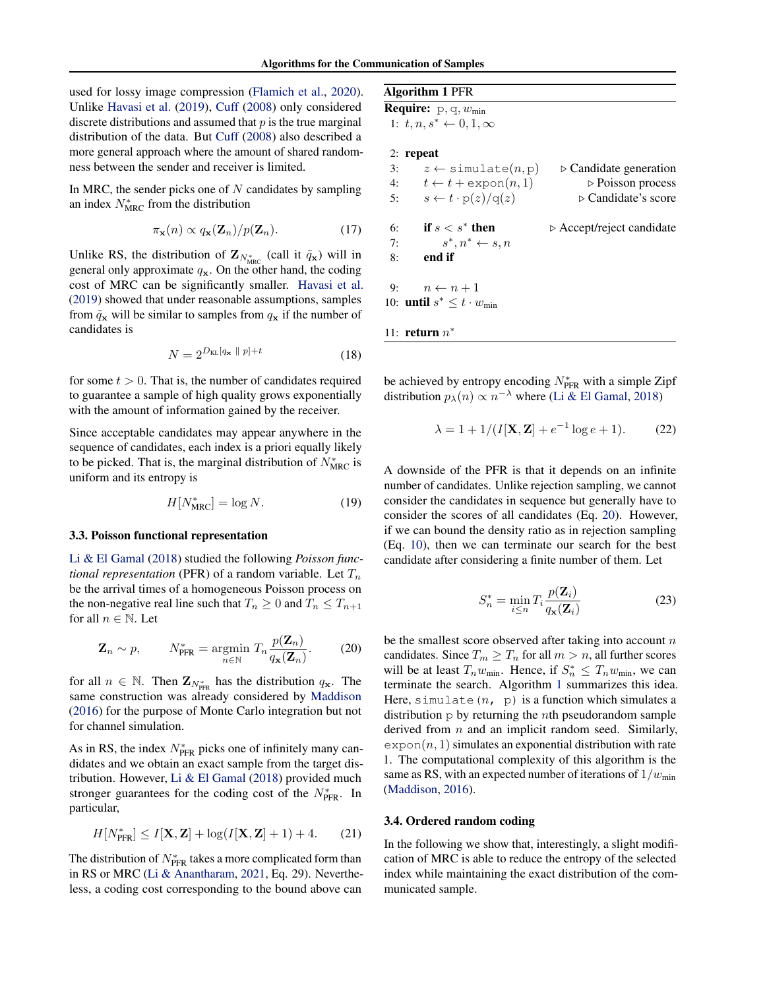used for lossy image compression [\(Flamich et al.,](#page-8-1) [2020\)](#page-8-1). Unlike [Havasi et al.](#page-9-0) [\(2019\)](#page-9-0), [Cuff](#page-8-0) [\(2008\)](#page-8-0) only considered discrete distributions and assumed that  $p$  is the true marginal distribution of the data. But [Cuff](#page-8-0) [\(2008\)](#page-8-0) also described a more general approach where the amount of shared randomness between the sender and receiver is limited.

In MRC, the sender picks one of  $N$  candidates by sampling an index  $N_{\text{MRC}}^*$  from the distribution

$$
\pi_{\mathbf{x}}(n) \propto q_{\mathbf{x}}(\mathbf{Z}_n)/p(\mathbf{Z}_n). \tag{17}
$$

Unlike RS, the distribution of  $\mathbf{Z}_{N^*_{\text{MRC}}}$  (call it  $\tilde{q}_\mathbf{x}$ ) will in general only approximate  $q_x$ . On the other hand, the coding cost of MRC can be significantly smaller. [Havasi et al.](#page-9-0) [\(2019\)](#page-9-0) showed that under reasonable assumptions, samples from  $\tilde{q}_x$  will be similar to samples from  $q_x$  if the number of candidates is

$$
N = 2^{D_{\text{KL}}\left[q_{\mathbf{x}} \parallel p\right] + t} \tag{18}
$$

for some  $t > 0$ . That is, the number of candidates required to guarantee a sample of high quality grows exponentially with the amount of information gained by the receiver.

Since acceptable candidates may appear anywhere in the sequence of candidates, each index is a priori equally likely to be picked. That is, the marginal distribution of  $N_{\text{MRC}}^*$  is uniform and its entropy is

$$
H[N_{\text{MRC}}^*] = \log N. \tag{19}
$$

#### 3.3. Poisson functional representation

[Li & El Gamal](#page-9-2) [\(2018\)](#page-9-2) studied the following *Poisson functional representation* (PFR) of a random variable. Let  $T_n$ be the arrival times of a homogeneous Poisson process on the non-negative real line such that  $T_n \geq 0$  and  $T_n \leq T_{n+1}$ for all  $n \in \mathbb{N}$ . Let

$$
\mathbf{Z}_n \sim p, \qquad N_{\text{PFR}}^* = \underset{n \in \mathbb{N}}{\text{argmin}} \ T_n \frac{p(\mathbf{Z}_n)}{q_{\mathbf{x}}(\mathbf{Z}_n)}.
$$
 (20)

for all  $n \in \mathbb{N}$ . Then  $\mathbf{Z}_{N_{\text{PFR}}^{*}}$  has the distribution  $q_{\mathbf{x}}$ . The same construction was already considered by [Maddison](#page-9-12) [\(2016\)](#page-9-12) for the purpose of Monte Carlo integration but not for channel simulation.

As in RS, the index  $N_{\text{PFR}}^*$  picks one of infinitely many candidates and we obtain an exact sample from the target distribution. However, [Li & El Gamal](#page-9-2) [\(2018\)](#page-9-2) provided much stronger guarantees for the coding cost of the  $N_{\text{PFR}}^*$ . In particular,

$$
H[N_{\text{PFR}}^*] \le I[\mathbf{X}, \mathbf{Z}] + \log(I[\mathbf{X}, \mathbf{Z}] + 1) + 4. \tag{21}
$$

The distribution of  $N_{\text{PFR}}^*$  takes a more complicated form than in RS or MRC [\(Li & Anantharam,](#page-9-4) [2021,](#page-9-4) Eq. 29). Nevertheless, a coding cost corresponding to the bound above can

### <span id="page-3-2"></span>Algorithm 1 PFR

**Require:**  $p, q, w_{min}$ 1:  $t, n, s^* \leftarrow 0, 1, \infty$ 

#### 2: repeat

<span id="page-3-3"></span>

| 3:  | $z \leftarrow$ simulate $(n, p)$             | $\triangleright$ Candidate generation    |
|-----|----------------------------------------------|------------------------------------------|
| 4:  | $t \leftarrow t + \exp \circ n(n,1)$         | $\triangleright$ Poisson process         |
| -5: | $s \leftarrow t \cdot p(z)/q(z)$             | $\triangleright$ Candidate's score       |
| 6:  | if $s < s^*$ then                            | $\triangleright$ Accept/reject candidate |
| 7:  | $s^*, n^* \leftarrow s, n$                   |                                          |
| 8:  | end if                                       |                                          |
|     | 9: $n \leftarrow n+1$                        |                                          |
|     | 10: <b>until</b> $s^* \leq t \cdot w_{\min}$ |                                          |
|     | 11: <b>return</b> $n^*$                      |                                          |

<span id="page-3-5"></span>be achieved by entropy encoding  $N_{\text{PFR}}^*$  with a simple Zipf distribution  $p_{\lambda}(n) \propto n^{-\lambda}$  where [\(Li & El Gamal,](#page-9-2) [2018\)](#page-9-2)

<span id="page-3-4"></span>
$$
\lambda = 1 + 1/(I[\mathbf{X}, \mathbf{Z}] + e^{-1} \log e + 1). \tag{22}
$$

A downside of the PFR is that it depends on an infinite number of candidates. Unlike rejection sampling, we cannot consider the candidates in sequence but generally have to consider the scores of all candidates (Eq. [20\)](#page-3-1). However, if we can bound the density ratio as in rejection sampling (Eq. [10\)](#page-2-2), then we can terminate our search for the best candidate after considering a finite number of them. Let

$$
S_n^* = \min_{i \le n} T_i \frac{p(\mathbf{Z}_i)}{q_\mathbf{x}(\mathbf{Z}_i)}\tag{23}
$$

<span id="page-3-1"></span>be the smallest score observed after taking into account  $n$ candidates. Since  $T_m \geq T_n$  for all  $m > n$ , all further scores will be at least  $T_n w_{\text{min}}$ . Hence, if  $S_n^* \leq T_n w_{\text{min}}$ , we can terminate the search. Algorithm [1](#page-3-2) summarizes this idea. Here, simulate  $(n, p)$  is a function which simulates a distribution  $p$  by returning the *n*th pseudorandom sample derived from  $n$  and an implicit random seed. Similarly,  $\exp$ on $(n, 1)$  simulates an exponential distribution with rate 1. The computational complexity of this algorithm is the same as RS, with an expected number of iterations of  $1/w_{min}$ [\(Maddison,](#page-9-12) [2016\)](#page-9-12).

#### <span id="page-3-0"></span>3.4. Ordered random coding

In the following we show that, interestingly, a slight modification of MRC is able to reduce the entropy of the selected index while maintaining the exact distribution of the communicated sample.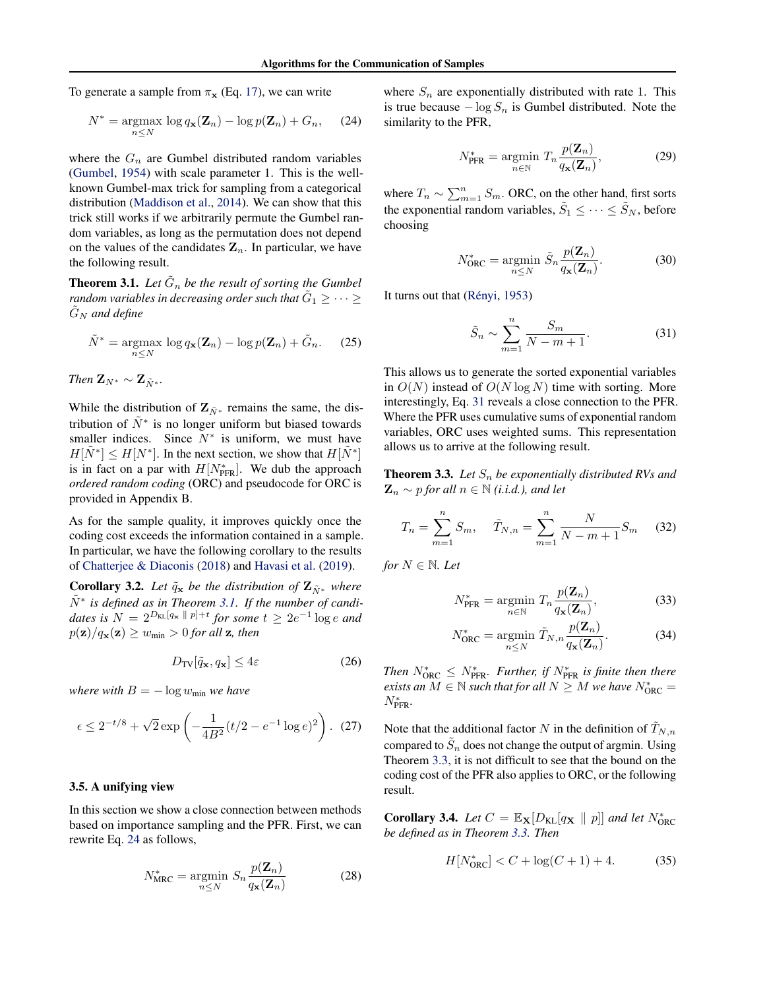To generate a sample from  $\pi_{\mathbf{x}}$  (Eq. [17\)](#page-3-3), we can write

$$
N^* = \underset{n \leq N}{\operatorname{argmax}} \log q_{\mathbf{x}}(\mathbf{Z}_n) - \log p(\mathbf{Z}_n) + G_n, \quad (24)
$$

where the  $G_n$  are Gumbel distributed random variables [\(Gumbel,](#page-8-9) [1954\)](#page-8-9) with scale parameter 1. This is the wellknown Gumbel-max trick for sampling from a categorical distribution [\(Maddison et al.,](#page-9-13) [2014\)](#page-9-13). We can show that this trick still works if we arbitrarily permute the Gumbel random variables, as long as the permutation does not depend on the values of the candidates  $\mathbf{Z}_n$ . In particular, we have the following result.

**Theorem 3.1.** Let  $\tilde{G}_n$  be the result of sorting the Gumbel random variables in decreasing order such that  $\tilde{G}_1 \geq \cdots \geq$  $G_N$  *and define* 

$$
\tilde{N}^* = \underset{n \leq N}{\operatorname{argmax}} \log q_{\mathbf{x}}(\mathbf{Z}_n) - \log p(\mathbf{Z}_n) + \tilde{G}_n. \tag{25}
$$

*Then*  $\mathbf{Z}_{N^*} \sim \mathbf{Z}_{\tilde{N}^*}.$ 

While the distribution of  $\mathbf{Z}_{\tilde{N}^*}$  remains the same, the distribution of  $\tilde{N}^*$  is no longer uniform but biased towards smaller indices. Since  $N^*$  is uniform, we must have  $H[\tilde{N}^*] \le H[N^*]$ . In the next section, we show that  $H[\tilde{N}^*]$ is in fact on a par with  $H[N<sub>pFR</sub><sup>*</sup>]$ . We dub the approach *ordered random coding* (ORC) and pseudocode for ORC is provided in Appendix B.

As for the sample quality, it improves quickly once the coding cost exceeds the information contained in a sample. In particular, we have the following corollary to the results of [Chatterjee & Diaconis](#page-8-10) [\(2018\)](#page-8-10) and [Havasi et al.](#page-9-0) [\(2019\)](#page-9-0).

**Corollary 3.2.** *Let*  $\tilde{q}_x$  *be the distribution of*  $\mathbf{Z}_{\tilde{N}^*}$  *where* N˜ <sup>∗</sup> *is defined as in Theorem [3.1.](#page-4-1) If the number of candi*dates is  $N = 2^{D_{\text{KL}}[q_{\textbf{x}} \parallel p] + t}$  for some  $t \geq 2e^{-1} \log e$  and  $p(\mathbf{z})/q_{\mathbf{x}}(\mathbf{z}) \geq w_{\text{min}} > 0$  for all  $\mathbf{z}$ , then

$$
D_{\rm TV}[\tilde{q}_\mathbf{x}, q_\mathbf{x}] \le 4\varepsilon \tag{26}
$$

*where with*  $B = -\log w_{\text{min}}$  *we have* 

$$
\epsilon \le 2^{-t/8} + \sqrt{2} \exp\left(-\frac{1}{4B^2}(t/2 - e^{-1}\log e)^2\right). \tag{27}
$$

#### <span id="page-4-0"></span>3.5. A unifying view

In this section we show a close connection between methods based on importance sampling and the PFR. First, we can rewrite Eq. [24](#page-4-2) as follows,

$$
N_{\text{MRC}}^* = \underset{n \leq N}{\operatorname{argmin}} S_n \frac{p(\mathbf{Z}_n)}{q_{\mathbf{x}}(\mathbf{Z}_n)}
$$
(28)

<span id="page-4-2"></span>where  $S_n$  are exponentially distributed with rate 1. This is true because  $-\log S_n$  is Gumbel distributed. Note the similarity to the PFR,

$$
N_{\text{PFR}}^* = \underset{n \in \mathbb{N}}{\text{argmin}} \ T_n \frac{p(\mathbf{Z}_n)}{q_\mathbf{x}(\mathbf{Z}_n)},\tag{29}
$$

where  $T_n \sim \sum_{m=1}^n S_m$ . ORC, on the other hand, first sorts the exponential random variables,  $\tilde{S}_1 \leq \cdots \leq \tilde{S}_N$ , before choosing

$$
N_{\text{ORC}}^* = \underset{n \leq N}{\text{argmin}} \ \tilde{S}_n \frac{p(\mathbf{Z}_n)}{q_{\mathbf{x}}(\mathbf{Z}_n)}.
$$
 (30)

<span id="page-4-1"></span>It turns out that (Rényi, [1953\)](#page-9-14)

<span id="page-4-3"></span>
$$
\tilde{S}_n \sim \sum_{m=1}^n \frac{S_m}{N-m+1}.\tag{31}
$$

This allows us to generate the sorted exponential variables in  $O(N)$  instead of  $O(N \log N)$  time with sorting. More interestingly, Eq. [31](#page-4-3) reveals a close connection to the PFR. Where the PFR uses cumulative sums of exponential random variables, ORC uses weighted sums. This representation allows us to arrive at the following result.

**Theorem 3.3.** Let  $S_n$  be exponentially distributed RVs and  $\mathbf{Z}_n \sim p$  *for all*  $n \in \mathbb{N}$  *(i.i.d.), and let* 

$$
T_n = \sum_{m=1}^{n} S_m, \quad \tilde{T}_{N,n} = \sum_{m=1}^{n} \frac{N}{N-m+1} S_m \quad (32)
$$

*for*  $N \in \mathbb{N}$ *. Let* 

$$
N_{\text{PFR}}^* = \underset{n \in \mathbb{N}}{\text{argmin}} \ T_n \frac{p(\mathbf{Z}_n)}{q_{\mathbf{x}}(\mathbf{Z}_n)},\tag{33}
$$

<span id="page-4-4"></span>
$$
N_{\text{ORC}}^* = \underset{n \leq N}{\text{argmin}} \ \tilde{T}_{N,n} \frac{p(\mathbf{Z}_n)}{q_{\mathbf{x}}(\mathbf{Z}_n)}.
$$
 (34)

*Then*  $N_{\text{ORC}}^* \leq N_{\text{PFR}}^*$ *. Further, if*  $N_{\text{PFR}}^*$  *is finite then there exists an*  $M \in \mathbb{N}$  *such that for all*  $N \geq M$  *we have*  $N_{\text{ORC}}^* =$ N<sup>∗</sup> PFR*.*

<span id="page-4-5"></span>Note that the additional factor N in the definition of  $T_{N,n}$ compared to  $\tilde{S}_n$  does not change the output of argmin. Using Theorem [3.3,](#page-4-4) it is not difficult to see that the bound on the coding cost of the PFR also applies to ORC, or the following result.

**Corollary 3.4.** *Let*  $C = \mathbb{E}_{\mathbf{X}}[D_{\mathrm{KL}}[q_{\mathbf{X}} \parallel p]]$  *and let*  $N_{\mathrm{ORC}}^*$ *be defined as in Theorem [3.3.](#page-4-4) Then*

<span id="page-4-6"></span>
$$
H[N_{\text{ORC}}^*] < C + \log(C+1) + 4. \tag{35}
$$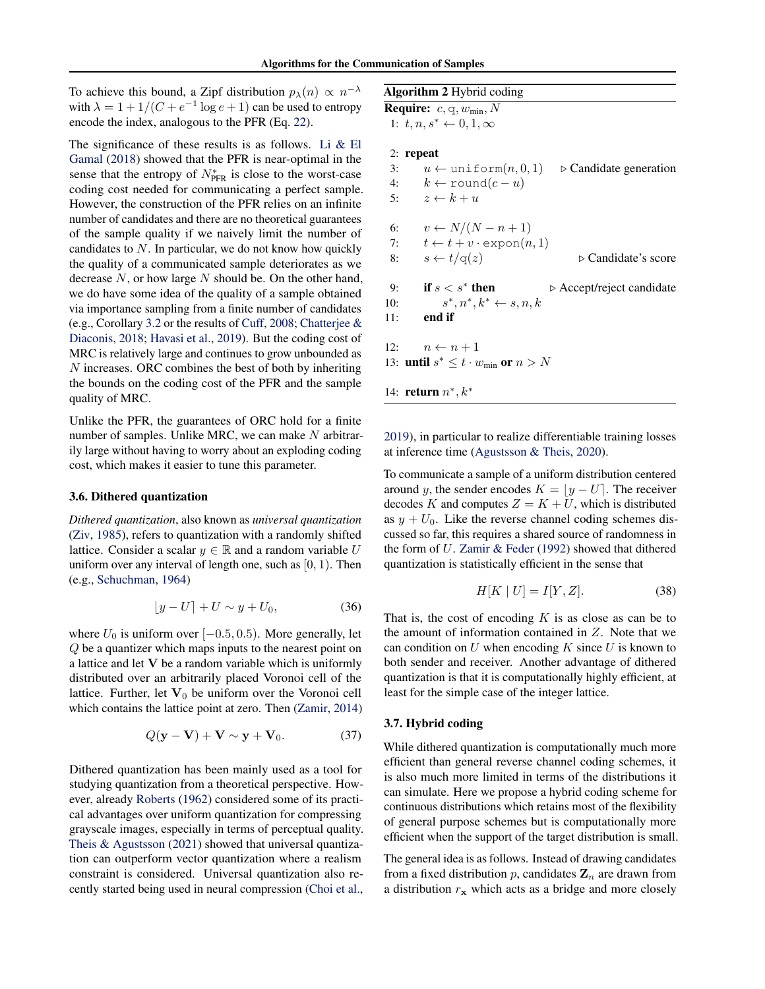To achieve this bound, a Zipf distribution  $p_{\lambda}(n) \propto n^{-\lambda}$ with  $\lambda = 1 + 1/(C + e^{-1} \log e + 1)$  can be used to entropy encode the index, analogous to the PFR (Eq. [22\)](#page-3-4).

The significance of these results is as follows. Li  $&$  El [Gamal](#page-9-2) [\(2018\)](#page-9-2) showed that the PFR is near-optimal in the sense that the entropy of  $N_{\text{PFR}}^*$  is close to the worst-case coding cost needed for communicating a perfect sample. However, the construction of the PFR relies on an infinite number of candidates and there are no theoretical guarantees of the sample quality if we naively limit the number of candidates to  $N$ . In particular, we do not know how quickly the quality of a communicated sample deteriorates as we decrease  $N$ , or how large  $N$  should be. On the other hand, we do have some idea of the quality of a sample obtained via importance sampling from a finite number of candidates (e.g., Corollary [3.2](#page-4-5) or the results of [Cuff,](#page-8-0) [2008;](#page-8-0) [Chatterjee &](#page-8-10) [Diaconis,](#page-8-10) [2018;](#page-8-10) [Havasi et al.,](#page-9-0) [2019\)](#page-9-0). But the coding cost of MRC is relatively large and continues to grow unbounded as N increases. ORC combines the best of both by inheriting the bounds on the coding cost of the PFR and the sample quality of MRC.

Unlike the PFR, the guarantees of ORC hold for a finite number of samples. Unlike MRC, we can make  $N$  arbitrarily large without having to worry about an exploding coding cost, which makes it easier to tune this parameter.

#### 3.6. Dithered quantization

*Dithered quantization*, also known as *universal quantization* [\(Ziv,](#page-9-15) [1985\)](#page-9-15), refers to quantization with a randomly shifted lattice. Consider a scalar  $y \in \mathbb{R}$  and a random variable U uniform over any interval of length one, such as  $[0, 1)$ . Then (e.g., [Schuchman,](#page-9-16) [1964\)](#page-9-16)

$$
\lfloor y - U \rfloor + U \sim y + U_0,\tag{36}
$$

where  $U_0$  is uniform over [ $-0.5, 0.5$ ). More generally, let Q be a quantizer which maps inputs to the nearest point on a lattice and let V be a random variable which is uniformly distributed over an arbitrarily placed Voronoi cell of the lattice. Further, let  $V_0$  be uniform over the Voronoi cell which contains the lattice point at zero. Then [\(Zamir,](#page-9-17) [2014\)](#page-9-17)

$$
Q(\mathbf{y} - \mathbf{V}) + \mathbf{V} \sim \mathbf{y} + \mathbf{V}_0. \tag{37}
$$

Dithered quantization has been mainly used as a tool for studying quantization from a theoretical perspective. However, already [Roberts](#page-9-18) [\(1962\)](#page-9-18) considered some of its practical advantages over uniform quantization for compressing grayscale images, especially in terms of perceptual quality. [Theis & Agustsson](#page-9-19) [\(2021\)](#page-9-19) showed that universal quantization can outperform vector quantization where a realism constraint is considered. Universal quantization also recently started being used in neural compression [\(Choi et al.,](#page-8-11)

### <span id="page-5-1"></span>Algorithm 2 Hybrid coding

**Require:**  $c, q, w_{\text{min}}, N$ 1:  $t, n, s^* \leftarrow 0, 1, \infty$ 

#### 2: repeat

3:  $u \leftarrow \text{uniform}(n, 0, 1)$   $\triangleright$  Candidate generation 4:  $k \leftarrow \text{round}(c - u)$ 5:  $z \leftarrow k + u$ 6:  $v \leftarrow N/(N-n+1)$ 7:  $t \leftarrow t + v \cdot \text{expon}(n, 1)$ 8:  $s \leftarrow t/q(z)$   $\triangleright$  Candidate's score 9: if  $s < s^*$  then  $\triangleright$  Accept/reject candidate  $10:$ \*,  $n^*, k^* \leftarrow s, n, k$ 11: end if 12:  $n \leftarrow n + 1$ 13: **until**  $s^* \leq t \cdot w_{\min}$  or  $n > N$ 14: **return**  $n^*, k^*$ 

[2019\)](#page-8-11), in particular to realize differentiable training losses at inference time [\(Agustsson & Theis,](#page-8-3) [2020\)](#page-8-3).

To communicate a sample of a uniform distribution centered around y, the sender encodes  $K = |y - U|$ . The receiver decodes K and computes  $Z = K + U$ , which is distributed as  $y + U_0$ . Like the reverse channel coding schemes discussed so far, this requires a shared source of randomness in the form of U. [Zamir & Feder](#page-9-20) [\(1992\)](#page-9-20) showed that dithered quantization is statistically efficient in the sense that

$$
H[K | U] = I[Y, Z]. \tag{38}
$$

That is, the cost of encoding  $K$  is as close as can be to the amount of information contained in Z. Note that we can condition on  $U$  when encoding  $K$  since  $U$  is known to both sender and receiver. Another advantage of dithered quantization is that it is computationally highly efficient, at least for the simple case of the integer lattice.

#### <span id="page-5-0"></span>3.7. Hybrid coding

While dithered quantization is computationally much more efficient than general reverse channel coding schemes, it is also much more limited in terms of the distributions it can simulate. Here we propose a hybrid coding scheme for continuous distributions which retains most of the flexibility of general purpose schemes but is computationally more efficient when the support of the target distribution is small.

The general idea is as follows. Instead of drawing candidates from a fixed distribution p, candidates  $\mathbf{Z}_n$  are drawn from a distribution  $r<sub>x</sub>$  which acts as a bridge and more closely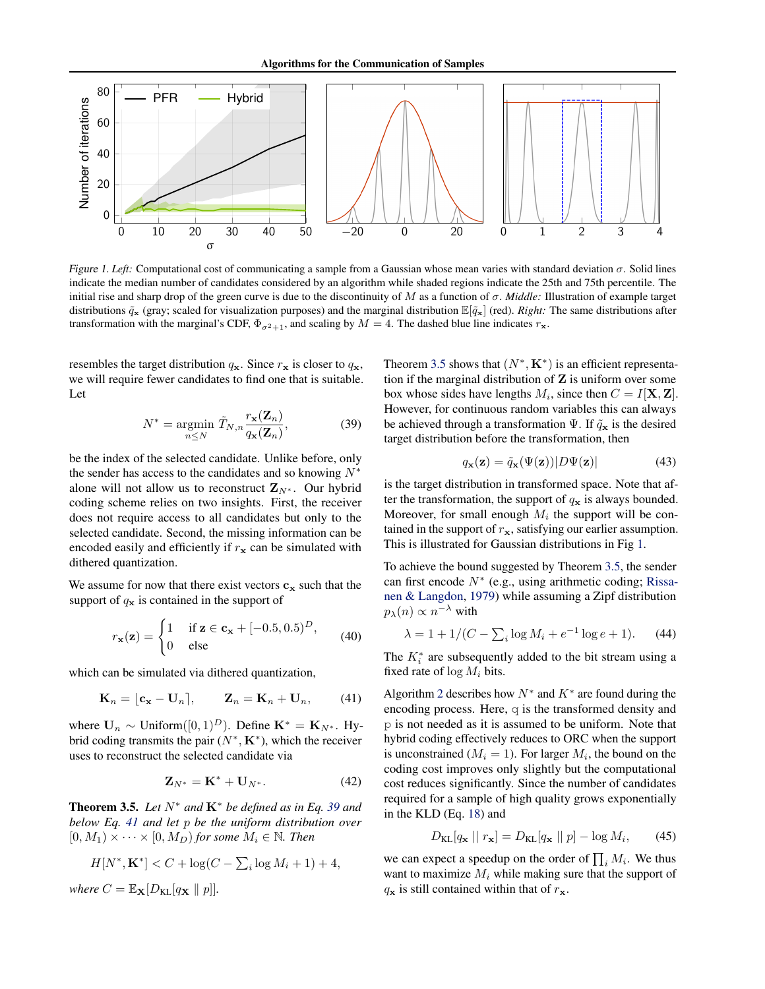

<span id="page-6-3"></span>Figure 1. Left: Computational cost of communicating a sample from a Gaussian whose mean varies with standard deviation  $\sigma$ . Solid lines indicate the median number of candidates considered by an algorithm while shaded regions indicate the 25th and 75th percentile. The initial rise and sharp drop of the green curve is due to the discontinuity of M as a function of σ. *Middle:* Illustration of example target distributions  $\tilde{q}_x$  (gray; scaled for visualization purposes) and the marginal distribution  $\mathbb{E}[\tilde{q}_x]$  (red). *Right:* The same distributions after transformation with the marginal's CDF,  $\Phi_{\sigma^2+1}$ , and scaling by  $M = 4$ . The dashed blue line indicates  $r_x$ .

resembles the target distribution  $q_x$ . Since  $r_x$  is closer to  $q_x$ , we will require fewer candidates to find one that is suitable. Let

$$
N^* = \underset{n \leq N}{\text{argmin}} \ \tilde{T}_{N,n} \frac{r_{\mathbf{x}}(\mathbf{Z}_n)}{q_{\mathbf{x}}(\mathbf{Z}_n)},\tag{39}
$$

be the index of the selected candidate. Unlike before, only the sender has access to the candidates and so knowing  $N^*$ alone will not allow us to reconstruct  $\mathbf{Z}_{N^*}$ . Our hybrid coding scheme relies on two insights. First, the receiver does not require access to all candidates but only to the selected candidate. Second, the missing information can be encoded easily and efficiently if  $r<sub>x</sub>$  can be simulated with dithered quantization.

We assume for now that there exist vectors  $c_x$  such that the support of  $q_x$  is contained in the support of

$$
r_{\mathbf{x}}(\mathbf{z}) = \begin{cases} 1 & \text{if } \mathbf{z} \in \mathbf{c}_{\mathbf{x}} + [-0.5, 0.5)^D, \\ 0 & \text{else} \end{cases} \tag{40}
$$

which can be simulated via dithered quantization,

$$
\mathbf{K}_n = [\mathbf{c}_\mathbf{x} - \mathbf{U}_n], \qquad \mathbf{Z}_n = \mathbf{K}_n + \mathbf{U}_n, \qquad (41)
$$

where  $\mathbf{U}_n \sim \text{Uniform}([0,1)^D)$ . Define  $\mathbf{K}^* = \mathbf{K}_{N^*}$ . Hybrid coding transmits the pair  $(N^*, K^*)$ , which the receiver uses to reconstruct the selected candidate via

$$
\mathbf{Z}_{N^*} = \mathbf{K}^* + \mathbf{U}_{N^*}.\tag{42}
$$

<span id="page-6-2"></span>**Theorem 3.5.** Let  $N^*$  and  $K^*$  be defined as in Eq. [39](#page-6-0) and *below Eq. [41](#page-6-1) and let* p *be the uniform distribution over*  $[0, M_1) \times \cdots \times [0, M_D)$  *for some*  $M_i \in \mathbb{N}$ *. Then* 

$$
H[N^*, \mathbf{K}^*] < C + \log(C - \sum_{i} \log M_i + 1) + 4,
$$

*where*  $C = \mathbb{E}_{\mathbf{X}}[D_{\text{KL}}[q_{\mathbf{X}} \parallel p]].$ 

<span id="page-6-0"></span>Theorem [3.5](#page-6-2) shows that  $(N^*, \mathbf{K}^*)$  is an efficient representation if the marginal distribution of  $Z$  is uniform over some box whose sides have lengths  $M_i$ , since then  $C = I[\mathbf{X}, \mathbf{Z}]$ . However, for continuous random variables this can always be achieved through a transformation  $\Psi$ . If  $\tilde{q}_x$  is the desired target distribution before the transformation, then

$$
q_{\mathbf{x}}(\mathbf{z}) = \tilde{q}_{\mathbf{x}}(\Psi(\mathbf{z}))|D\Psi(\mathbf{z})|
$$
 (43)

is the target distribution in transformed space. Note that after the transformation, the support of  $q_x$  is always bounded. Moreover, for small enough  $M_i$  the support will be contained in the support of  $r_{\mathbf{x}}$ , satisfying our earlier assumption. This is illustrated for Gaussian distributions in Fig [1.](#page-6-3)

To achieve the bound suggested by Theorem [3.5,](#page-6-2) the sender can first encode  $N^*$  (e.g., using arithmetic coding; [Rissa](#page-9-21)[nen & Langdon,](#page-9-21) [1979\)](#page-9-21) while assuming a Zipf distribution  $p_{\lambda}(n) \propto n^{-\lambda}$  with

$$
\lambda = 1 + 1/(C - \sum_{i} \log M_i + e^{-1} \log e + 1). \tag{44}
$$

The  $K_i^*$  are subsequently added to the bit stream using a fixed rate of  $\log M_i$  bits.

<span id="page-6-1"></span>Algorithm [2](#page-5-1) describes how  $N^*$  and  $K^*$  are found during the encoding process. Here,  $q$  is the transformed density and p is not needed as it is assumed to be uniform. Note that hybrid coding effectively reduces to ORC when the support is unconstrained ( $M_i = 1$ ). For larger  $M_i$ , the bound on the coding cost improves only slightly but the computational cost reduces significantly. Since the number of candidates required for a sample of high quality grows exponentially in the KLD (Eq. [18\)](#page-3-5) and

$$
D_{\text{KL}}[q_{\mathbf{x}} \mid r_{\mathbf{x}}] = D_{\text{KL}}[q_{\mathbf{x}} \mid p] - \log M_i, \qquad (45)
$$

we can expect a speedup on the order of  $\prod_i M_i$ . We thus want to maximize  $M_i$  while making sure that the support of  $q_x$  is still contained within that of  $r_x$ .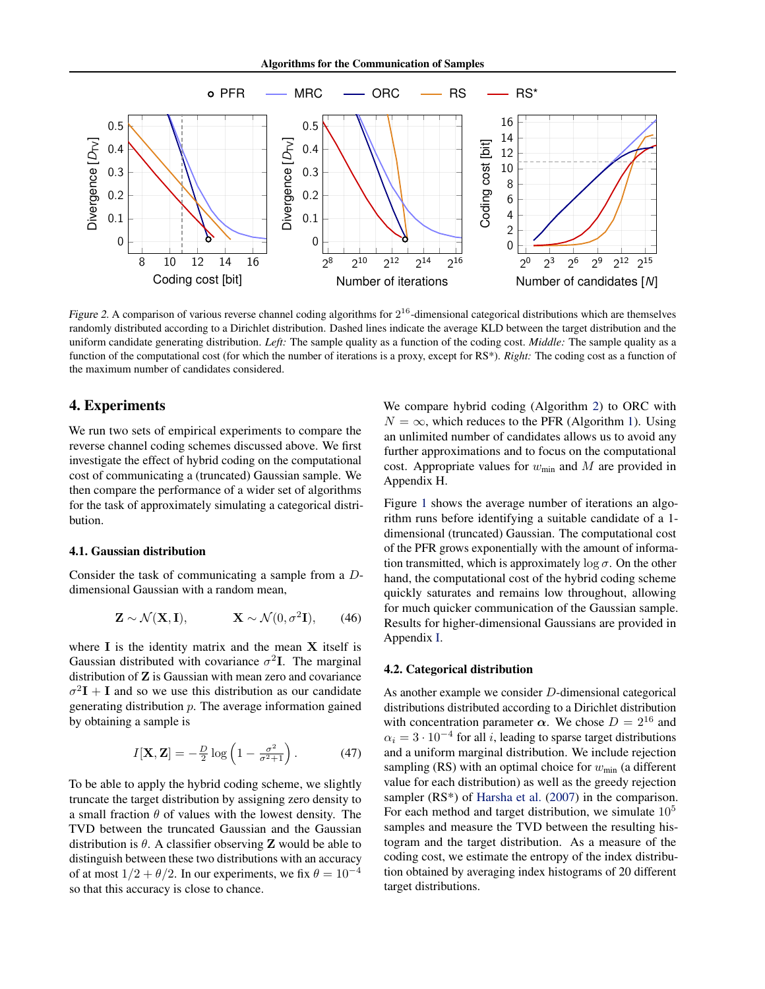

<span id="page-7-0"></span>Figure 2. A comparison of various reverse channel coding algorithms for  $2^{16}$ -dimensional categorical distributions which are themselves randomly distributed according to a Dirichlet distribution. Dashed lines indicate the average KLD between the target distribution and the uniform candidate generating distribution. *Left:* The sample quality as a function of the coding cost. *Middle:* The sample quality as a function of the computational cost (for which the number of iterations is a proxy, except for RS\*). *Right:* The coding cost as a function of the maximum number of candidates considered.

## 4. Experiments

We run two sets of empirical experiments to compare the reverse channel coding schemes discussed above. We first investigate the effect of hybrid coding on the computational cost of communicating a (truncated) Gaussian sample. We then compare the performance of a wider set of algorithms for the task of approximately simulating a categorical distribution.

#### 4.1. Gaussian distribution

Consider the task of communicating a sample from a Ddimensional Gaussian with a random mean,

$$
\mathbf{Z} \sim \mathcal{N}(\mathbf{X}, \mathbf{I}), \qquad \mathbf{X} \sim \mathcal{N}(0, \sigma^2 \mathbf{I}), \qquad (46)
$$

where  $\bf{I}$  is the identity matrix and the mean  $\bf{X}$  itself is Gaussian distributed with covariance  $\sigma^2 I$ . The marginal distribution of **Z** is Gaussian with mean zero and covariance  $\sigma^2 I + I$  and so we use this distribution as our candidate generating distribution  $p$ . The average information gained by obtaining a sample is

$$
I[\mathbf{X}, \mathbf{Z}] = -\frac{D}{2}\log\left(1 - \frac{\sigma^2}{\sigma^2 + 1}\right). \tag{47}
$$

To be able to apply the hybrid coding scheme, we slightly truncate the target distribution by assigning zero density to a small fraction  $\theta$  of values with the lowest density. The TVD between the truncated Gaussian and the Gaussian distribution is  $\theta$ . A classifier observing **Z** would be able to distinguish between these two distributions with an accuracy of at most  $1/2 + \theta/2$ . In our experiments, we fix  $\theta = 10^{-4}$ so that this accuracy is close to chance.

We compare hybrid coding (Algorithm [2\)](#page-5-1) to ORC with  $N = \infty$ , which reduces to the PFR (Algorithm [1\)](#page-3-2). Using an unlimited number of candidates allows us to avoid any further approximations and to focus on the computational cost. Appropriate values for  $w_{\text{min}}$  and  $M$  are provided in Appendix H.

Figure [1](#page-6-3) shows the average number of iterations an algorithm runs before identifying a suitable candidate of a 1 dimensional (truncated) Gaussian. The computational cost of the PFR grows exponentially with the amount of information transmitted, which is approximately  $\log \sigma$ . On the other hand, the computational cost of the hybrid coding scheme quickly saturates and remains low throughout, allowing for much quicker communication of the Gaussian sample. Results for higher-dimensional Gaussians are provided in Appendix [I.](#page-19-0)

#### 4.2. Categorical distribution

As another example we consider D-dimensional categorical distributions distributed according to a Dirichlet distribution with concentration parameter  $\alpha$ . We chose  $D = 2^{16}$  and  $\alpha_i = 3 \cdot 10^{-4}$  for all i, leading to sparse target distributions and a uniform marginal distribution. We include rejection sampling (RS) with an optimal choice for  $w_{\text{min}}$  (a different value for each distribution) as well as the greedy rejection sampler (RS<sup>\*</sup>) of [Harsha et al.](#page-9-3) [\(2007\)](#page-9-3) in the comparison. For each method and target distribution, we simulate  $10<sup>5</sup>$ samples and measure the TVD between the resulting histogram and the target distribution. As a measure of the coding cost, we estimate the entropy of the index distribution obtained by averaging index histograms of 20 different target distributions.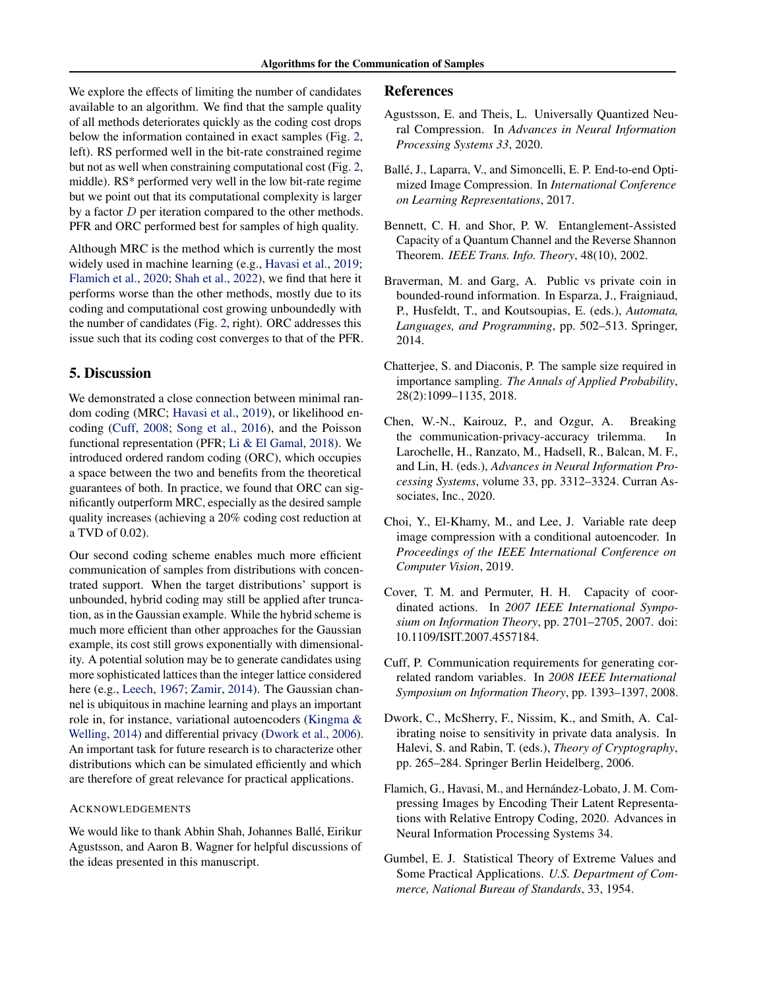We explore the effects of limiting the number of candidates available to an algorithm. We find that the sample quality of all methods deteriorates quickly as the coding cost drops below the information contained in exact samples (Fig. [2,](#page-7-0) left). RS performed well in the bit-rate constrained regime but not as well when constraining computational cost (Fig. [2,](#page-7-0) middle). RS\* performed very well in the low bit-rate regime but we point out that its computational complexity is larger by a factor  $D$  per iteration compared to the other methods. PFR and ORC performed best for samples of high quality.

Although MRC is the method which is currently the most widely used in machine learning (e.g., [Havasi et al.,](#page-9-0) [2019;](#page-9-0) [Flamich et al.,](#page-8-1) [2020;](#page-8-1) [Shah et al.,](#page-9-1) [2022\)](#page-9-1), we find that here it performs worse than the other methods, mostly due to its coding and computational cost growing unboundedly with the number of candidates (Fig. [2,](#page-7-0) right). ORC addresses this issue such that its coding cost converges to that of the PFR.

## 5. Discussion

We demonstrated a close connection between minimal random coding (MRC; [Havasi et al.,](#page-9-0) [2019\)](#page-9-0), or likelihood encoding [\(Cuff,](#page-8-0) [2008;](#page-8-0) [Song et al.,](#page-9-11) [2016\)](#page-9-11), and the Poisson functional representation (PFR; [Li & El Gamal,](#page-9-2) [2018\)](#page-9-2). We introduced ordered random coding (ORC), which occupies a space between the two and benefits from the theoretical guarantees of both. In practice, we found that ORC can significantly outperform MRC, especially as the desired sample quality increases (achieving a 20% coding cost reduction at a TVD of 0.02).

Our second coding scheme enables much more efficient communication of samples from distributions with concentrated support. When the target distributions' support is unbounded, hybrid coding may still be applied after truncation, as in the Gaussian example. While the hybrid scheme is much more efficient than other approaches for the Gaussian example, its cost still grows exponentially with dimensionality. A potential solution may be to generate candidates using more sophisticated lattices than the integer lattice considered here (e.g., [Leech,](#page-9-22) [1967;](#page-9-22) [Zamir,](#page-9-17) [2014\)](#page-9-17). The Gaussian channel is ubiquitous in machine learning and plays an important role in, for instance, variational autoencoders [\(Kingma &](#page-9-23) [Welling,](#page-9-23) [2014\)](#page-9-23) and differential privacy [\(Dwork et al.,](#page-8-4) [2006\)](#page-8-4). An important task for future research is to characterize other distributions which can be simulated efficiently and which are therefore of great relevance for practical applications.

#### ACKNOWLEDGEMENTS

We would like to thank Abhin Shah, Johannes Ballé, Eirikur Agustsson, and Aaron B. Wagner for helpful discussions of the ideas presented in this manuscript.

#### References

- <span id="page-8-3"></span>Agustsson, E. and Theis, L. Universally Quantized Neural Compression. In *Advances in Neural Information Processing Systems 33*, 2020.
- <span id="page-8-2"></span>Ballé, J., Laparra, V., and Simoncelli, E. P. End-to-end Optimized Image Compression. In *International Conference on Learning Representations*, 2017.
- <span id="page-8-6"></span>Bennett, C. H. and Shor, P. W. Entanglement-Assisted Capacity of a Quantum Channel and the Reverse Shannon Theorem. *IEEE Trans. Info. Theory*, 48(10), 2002.
- <span id="page-8-8"></span>Braverman, M. and Garg, A. Public vs private coin in bounded-round information. In Esparza, J., Fraigniaud, P., Husfeldt, T., and Koutsoupias, E. (eds.), *Automata, Languages, and Programming*, pp. 502–513. Springer, 2014.
- <span id="page-8-10"></span>Chatterjee, S. and Diaconis, P. The sample size required in importance sampling. *The Annals of Applied Probability*, 28(2):1099–1135, 2018.
- <span id="page-8-5"></span>Chen, W.-N., Kairouz, P., and Ozgur, A. Breaking the communication-privacy-accuracy trilemma. In Larochelle, H., Ranzato, M., Hadsell, R., Balcan, M. F., and Lin, H. (eds.), *Advances in Neural Information Processing Systems*, volume 33, pp. 3312–3324. Curran Associates, Inc., 2020.
- <span id="page-8-11"></span>Choi, Y., El-Khamy, M., and Lee, J. Variable rate deep image compression with a conditional autoencoder. In *Proceedings of the IEEE International Conference on Computer Vision*, 2019.
- <span id="page-8-7"></span>Cover, T. M. and Permuter, H. H. Capacity of coordinated actions. In *2007 IEEE International Symposium on Information Theory*, pp. 2701–2705, 2007. doi: 10.1109/ISIT.2007.4557184.
- <span id="page-8-0"></span>Cuff, P. Communication requirements for generating correlated random variables. In *2008 IEEE International Symposium on Information Theory*, pp. 1393–1397, 2008.
- <span id="page-8-4"></span>Dwork, C., McSherry, F., Nissim, K., and Smith, A. Calibrating noise to sensitivity in private data analysis. In Halevi, S. and Rabin, T. (eds.), *Theory of Cryptography*, pp. 265–284. Springer Berlin Heidelberg, 2006.
- <span id="page-8-1"></span>Flamich, G., Havasi, M., and Hernández-Lobato, J. M. Compressing Images by Encoding Their Latent Representations with Relative Entropy Coding, 2020. Advances in Neural Information Processing Systems 34.
- <span id="page-8-9"></span>Gumbel, E. J. Statistical Theory of Extreme Values and Some Practical Applications. *U.S. Department of Commerce, National Bureau of Standards*, 33, 1954.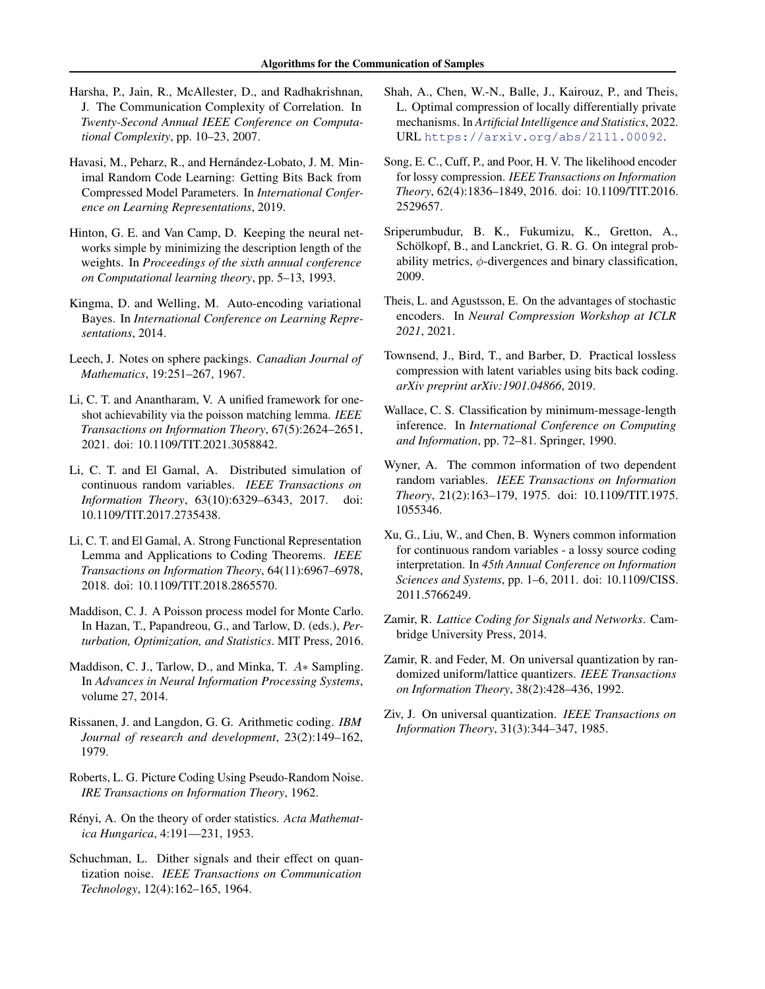- <span id="page-9-3"></span>Harsha, P., Jain, R., McAllester, D., and Radhakrishnan, J. The Communication Complexity of Correlation. In *Twenty-Second Annual IEEE Conference on Computational Complexity*, pp. 10–23, 2007.
- <span id="page-9-0"></span>Havasi, M., Peharz, R., and Hernández-Lobato, J. M. Minimal Random Code Learning: Getting Bits Back from Compressed Model Parameters. In *International Conference on Learning Representations*, 2019.
- <span id="page-9-9"></span>Hinton, G. E. and Van Camp, D. Keeping the neural networks simple by minimizing the description length of the weights. In *Proceedings of the sixth annual conference on Computational learning theory*, pp. 5–13, 1993.
- <span id="page-9-23"></span>Kingma, D. and Welling, M. Auto-encoding variational Bayes. In *International Conference on Learning Representations*, 2014.
- <span id="page-9-22"></span>Leech, J. Notes on sphere packings. *Canadian Journal of Mathematics*, 19:251–267, 1967.
- <span id="page-9-4"></span>Li, C. T. and Anantharam, V. A unified framework for oneshot achievability via the poisson matching lemma. *IEEE Transactions on Information Theory*, 67(5):2624–2651, 2021. doi: 10.1109/TIT.2021.3058842.
- <span id="page-9-5"></span>Li, C. T. and El Gamal, A. Distributed simulation of continuous random variables. *IEEE Transactions on Information Theory*, 63(10):6329–6343, 2017. doi: 10.1109/TIT.2017.2735438.
- <span id="page-9-2"></span>Li, C. T. and El Gamal, A. Strong Functional Representation Lemma and Applications to Coding Theorems. *IEEE Transactions on Information Theory*, 64(11):6967–6978, 2018. doi: 10.1109/TIT.2018.2865570.
- <span id="page-9-12"></span>Maddison, C. J. A Poisson process model for Monte Carlo. In Hazan, T., Papandreou, G., and Tarlow, D. (eds.), *Perturbation, Optimization, and Statistics*. MIT Press, 2016.
- <span id="page-9-13"></span>Maddison, C. J., Tarlow, D., and Minka, T. A∗ Sampling. In *Advances in Neural Information Processing Systems*, volume 27, 2014.
- <span id="page-9-21"></span>Rissanen, J. and Langdon, G. G. Arithmetic coding. *IBM Journal of research and development*, 23(2):149–162, 1979.
- <span id="page-9-18"></span>Roberts, L. G. Picture Coding Using Pseudo-Random Noise. *IRE Transactions on Information Theory*, 1962.
- <span id="page-9-14"></span>Rényi, A. On the theory of order statistics. Acta Mathemat*ica Hungarica*, 4:191––231, 1953.
- <span id="page-9-16"></span>Schuchman, L. Dither signals and their effect on quantization noise. *IEEE Transactions on Communication Technology*, 12(4):162–165, 1964.
- <span id="page-9-1"></span>Shah, A., Chen, W.-N., Balle, J., Kairouz, P., and Theis, L. Optimal compression of locally differentially private mechanisms. In *Artificial Intelligence and Statistics*, 2022. URL <https://arxiv.org/abs/2111.00092>.
- <span id="page-9-11"></span>Song, E. C., Cuff, P., and Poor, H. V. The likelihood encoder for lossy compression. *IEEE Transactions on Information Theory*, 62(4):1836–1849, 2016. doi: 10.1109/TIT.2016. 2529657.
- <span id="page-9-24"></span>Sriperumbudur, B. K., Fukumizu, K., Gretton, A., Schölkopf, B., and Lanckriet, G. R. G. On integral probability metrics,  $\phi$ -divergences and binary classification, 2009.
- <span id="page-9-19"></span>Theis, L. and Agustsson, E. On the advantages of stochastic encoders. In *Neural Compression Workshop at ICLR 2021*, 2021.
- <span id="page-9-10"></span>Townsend, J., Bird, T., and Barber, D. Practical lossless compression with latent variables using bits back coding. *arXiv preprint arXiv:1901.04866*, 2019.
- <span id="page-9-8"></span>Wallace, C. S. Classification by minimum-message-length inference. In *International Conference on Computing and Information*, pp. 72–81. Springer, 1990.
- <span id="page-9-6"></span>Wyner, A. The common information of two dependent random variables. *IEEE Transactions on Information Theory*, 21(2):163–179, 1975. doi: 10.1109/TIT.1975. 1055346.
- <span id="page-9-7"></span>Xu, G., Liu, W., and Chen, B. Wyners common information for continuous random variables - a lossy source coding interpretation. In *45th Annual Conference on Information Sciences and Systems*, pp. 1–6, 2011. doi: 10.1109/CISS. 2011.5766249.
- <span id="page-9-17"></span>Zamir, R. *Lattice Coding for Signals and Networks*. Cambridge University Press, 2014.
- <span id="page-9-20"></span>Zamir, R. and Feder, M. On universal quantization by randomized uniform/lattice quantizers. *IEEE Transactions on Information Theory*, 38(2):428–436, 1992.
- <span id="page-9-15"></span>Ziv, J. On universal quantization. *IEEE Transactions on Information Theory*, 31(3):344–347, 1985.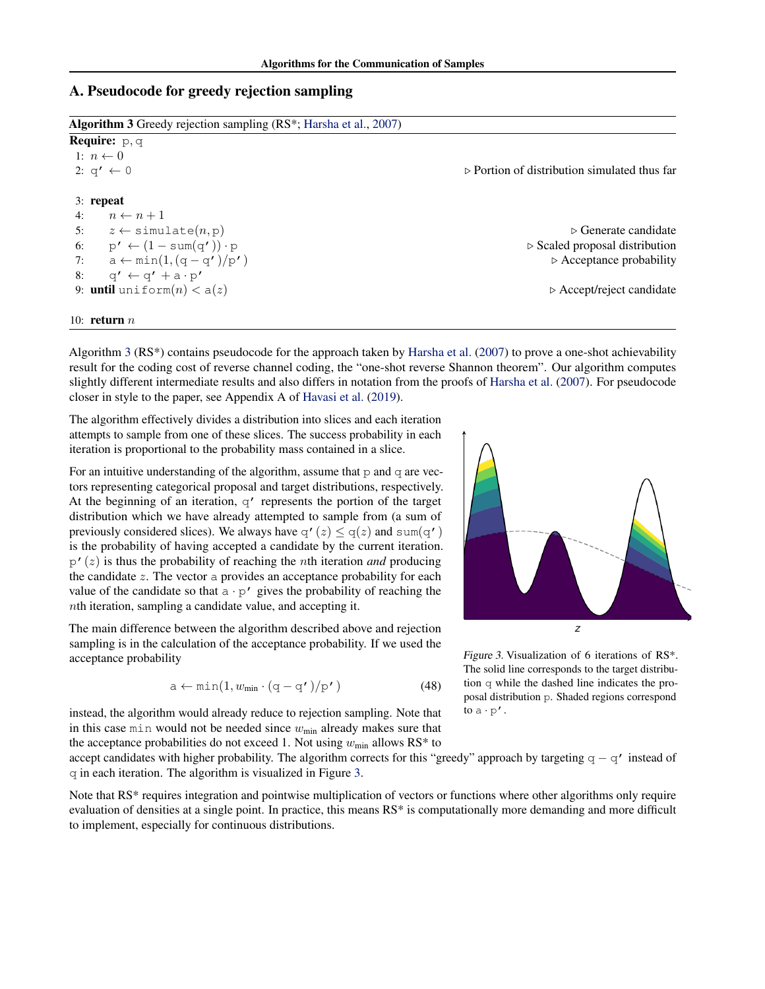## A. Pseudocode for greedy rejection sampling

<span id="page-10-0"></span>

| <b>Algorithm 3</b> Greedy rejection sampling $(RS^*; Harsha et al., 2007)$ |                                                             |  |  |
|----------------------------------------------------------------------------|-------------------------------------------------------------|--|--|
| <b>Require:</b> $p, q$                                                     |                                                             |  |  |
| 1: $n \leftarrow 0$                                                        |                                                             |  |  |
| 2: $q' \leftarrow 0$                                                       | $\triangleright$ Portion of distribution simulated thus far |  |  |
| $3:$ repeat                                                                |                                                             |  |  |
| $n \leftarrow n+1$<br>4:                                                   |                                                             |  |  |
| $z \leftarrow$ simulate $(n, p)$<br>5:                                     | $\triangleright$ Generate candidate                         |  |  |
| 6: $p' \leftarrow (1 - \text{sum}(q')) \cdot p$                            | $\triangleright$ Scaled proposal distribution               |  |  |
| $a \leftarrow min(1, (q - q')/p')$<br>7:                                   | $\triangleright$ Acceptance probability                     |  |  |
| 8:<br>$q' \leftarrow q' + a \cdot p'$                                      |                                                             |  |  |
| 9: <b>until</b> uniform $(n) < a(z)$                                       | $\triangleright$ Accept/reject candidate                    |  |  |
| 10: return $n$                                                             |                                                             |  |  |

Algorithm [3](#page-10-0) (RS\*) contains pseudocode for the approach taken by [Harsha et al.](#page-9-3) [\(2007\)](#page-9-3) to prove a one-shot achievability result for the coding cost of reverse channel coding, the "one-shot reverse Shannon theorem". Our algorithm computes slightly different intermediate results and also differs in notation from the proofs of [Harsha et al.](#page-9-3) [\(2007\)](#page-9-3). For pseudocode closer in style to the paper, see Appendix A of [Havasi et al.](#page-9-0) [\(2019\)](#page-9-0).

The algorithm effectively divides a distribution into slices and each iteration attempts to sample from one of these slices. The success probability in each iteration is proportional to the probability mass contained in a slice.

For an intuitive understanding of the algorithm, assume that  $p$  and  $q$  are vectors representing categorical proposal and target distributions, respectively. At the beginning of an iteration, q' represents the portion of the target distribution which we have already attempted to sample from (a sum of previously considered slices). We always have  $\varphi'(z) \leq \varphi(z)$  and sum( $\varphi'$ ) is the probability of having accepted a candidate by the current iteration.  $p'(z)$  is thus the probability of reaching the *n*th iteration *and* producing the candidate z. The vector a provides an acceptance probability for each value of the candidate so that  $a \cdot p'$  gives the probability of reaching the nth iteration, sampling a candidate value, and accepting it.

The main difference between the algorithm described above and rejection sampling is in the calculation of the acceptance probability. If we used the acceptance probability

$$
a \leftarrow min(1, w_{min} \cdot (q - q')/p') \tag{48}
$$

instead, the algorithm would already reduce to rejection sampling. Note that in this case min would not be needed since  $w_{\text{min}}$  already makes sure that the acceptance probabilities do not exceed 1. Not using  $w_{\text{min}}$  allows RS\* to

accept candidates with higher probability. The algorithm corrects for this "greedy" approach by targeting  $q - q'$  instead of q in each iteration. The algorithm is visualized in Figure [3.](#page-10-1)

Note that RS\* requires integration and pointwise multiplication of vectors or functions where other algorithms only require evaluation of densities at a single point. In practice, this means RS\* is computationally more demanding and more difficult to implement, especially for continuous distributions.



<span id="page-10-1"></span>Figure 3. Visualization of 6 iterations of RS\*. The solid line corresponds to the target distribution q while the dashed line indicates the proposal distribution p. Shaded regions correspond to  $a \cdot p'$ .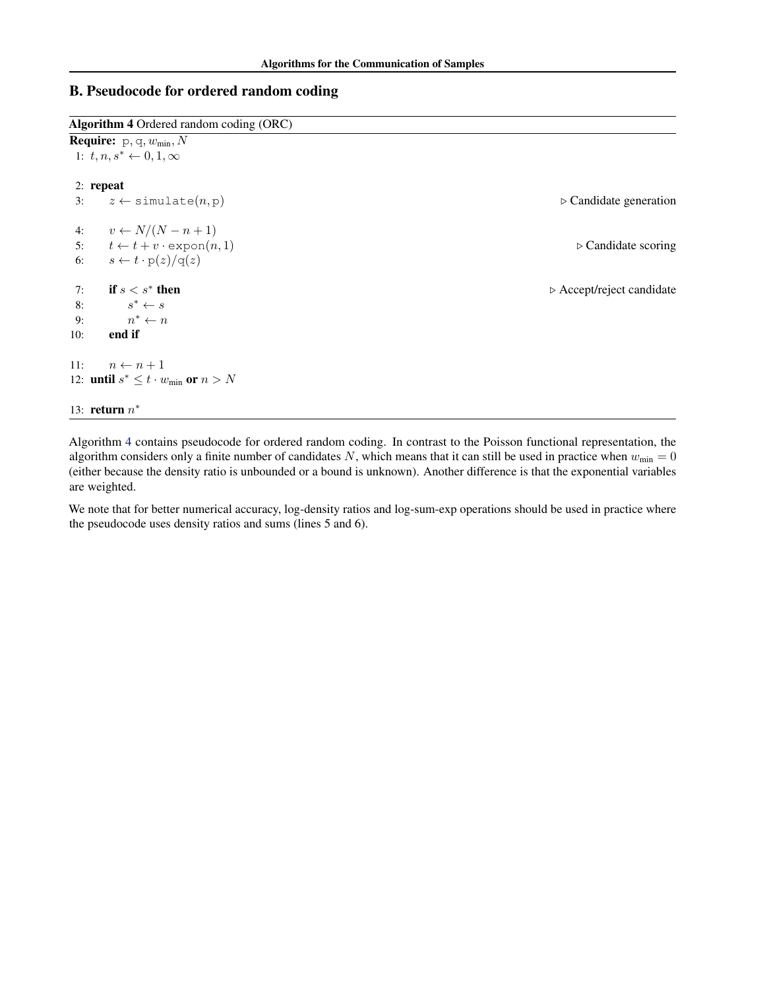# B. Pseudocode for ordered random coding

<span id="page-11-0"></span>

| Algorithm 4 Ordered random coding (ORC)<br><b>Require:</b> $p, q, w_{min}, N$ |                                                         |                                          |  |  |
|-------------------------------------------------------------------------------|---------------------------------------------------------|------------------------------------------|--|--|
|                                                                               |                                                         |                                          |  |  |
| $2:$ repeat                                                                   |                                                         |                                          |  |  |
| 3:                                                                            | $z \leftarrow$ simulate $(n, p)$                        | $\triangleright$ Candidate generation    |  |  |
|                                                                               | 4: $v \leftarrow N/(N-n+1)$                             |                                          |  |  |
|                                                                               | 5: $t \leftarrow t + v \cdot \text{expon}(n, 1)$        | $\triangleright$ Candidate scoring       |  |  |
|                                                                               | 6: $s \leftarrow t \cdot p(z)/q(z)$                     |                                          |  |  |
| 7:                                                                            | if $s < s^*$ then                                       | $\triangleright$ Accept/reject candidate |  |  |
| 8:                                                                            | $s^* \leftarrow s$                                      |                                          |  |  |
| 9:                                                                            | $n^* \leftarrow n$                                      |                                          |  |  |
| end if<br>10:                                                                 |                                                         |                                          |  |  |
| 11:                                                                           | $n \leftarrow n+1$                                      |                                          |  |  |
|                                                                               | 12: <b>until</b> $s^* \leq t \cdot w_{\min}$ or $n > N$ |                                          |  |  |
| 13: return $n^*$                                                              |                                                         |                                          |  |  |

Algorithm [4](#page-11-0) contains pseudocode for ordered random coding. In contrast to the Poisson functional representation, the algorithm considers only a finite number of candidates N, which means that it can still be used in practice when  $w_{min} = 0$ (either because the density ratio is unbounded or a bound is unknown). Another difference is that the exponential variables are weighted.

We note that for better numerical accuracy, log-density ratios and log-sum-exp operations should be used in practice where the pseudocode uses density ratios and sums (lines 5 and 6).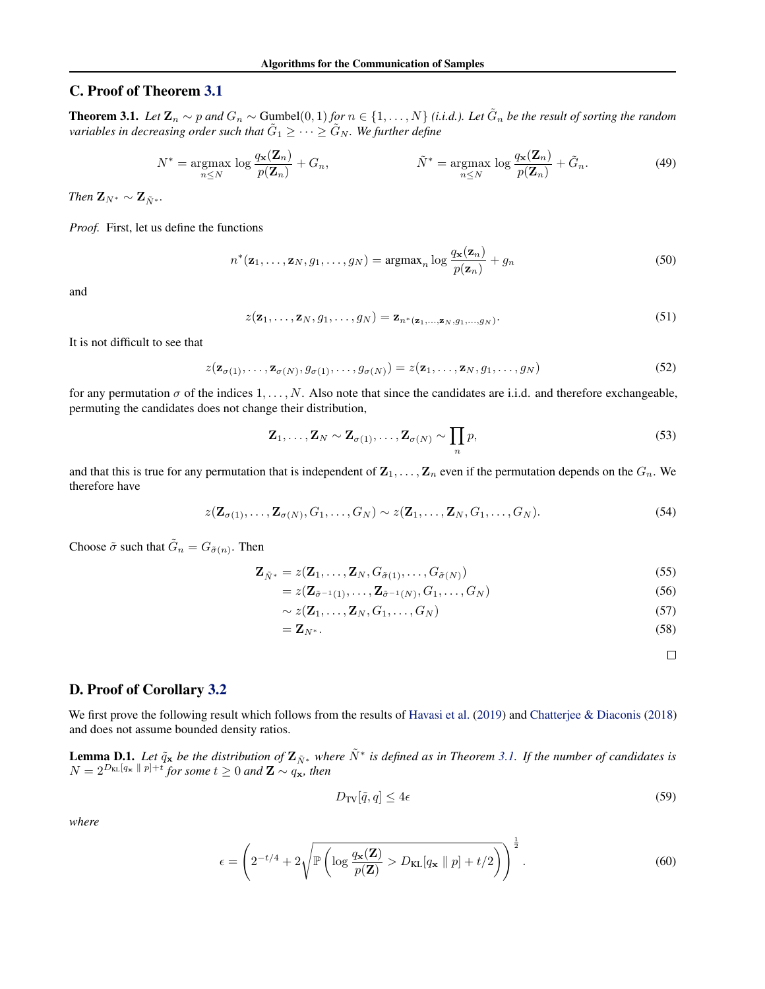## C. Proof of Theorem [3.1](#page-4-1)

**Theorem 3.1.** *Let*  $\mathbf{Z}_n$  ∼ p and  $G_n$  ∼ Gumbel $(0,1)$  for  $n \in \{1,\ldots,N\}$  (i.i.d.). Let  $\tilde{G}_n$  be the result of sorting the random variables in decreasing order such that  $\tilde{G}_1 \geq \cdots \geq \tilde{G}_N$  . We further define

$$
N^* = \underset{n \leq N}{\operatorname{argmax}} \log \frac{q_{\mathbf{x}}(\mathbf{Z}_n)}{p(\mathbf{Z}_n)} + G_n, \qquad \qquad \tilde{N}^* = \underset{n \leq N}{\operatorname{argmax}} \log \frac{q_{\mathbf{x}}(\mathbf{Z}_n)}{p(\mathbf{Z}_n)} + \tilde{G}_n. \tag{49}
$$

*Then*  $\mathbf{Z}_{N^*} \sim \mathbf{Z}_{N^*}$ .

*Proof.* First, let us define the functions

$$
n^*(\mathbf{z}_1,\ldots,\mathbf{z}_N,g_1,\ldots,g_N) = \operatorname{argmax}_n \log \frac{q_{\mathbf{x}}(\mathbf{z}_n)}{p(\mathbf{z}_n)} + g_n \tag{50}
$$

and

$$
z(\mathbf{z}_1,\ldots,\mathbf{z}_N,g_1,\ldots,g_N) = \mathbf{z}_{n^*(\mathbf{z}_1,\ldots,\mathbf{z}_N,g_1,\ldots,g_N)}.
$$
\n(51)

It is not difficult to see that

 $z(\mathbf{z}_{\sigma(1)},\ldots,\mathbf{z}_{\sigma(N)},g_{\sigma(1)},\ldots,g_{\sigma(N)})=z(\mathbf{z}_1,\ldots,\mathbf{z}_N,g_1,\ldots,g_N)$  (52)

for any permutation  $\sigma$  of the indices  $1, \ldots, N$ . Also note that since the candidates are i.i.d. and therefore exchangeable, permuting the candidates does not change their distribution,

$$
\mathbf{Z}_1, \dots, \mathbf{Z}_N \sim \mathbf{Z}_{\sigma(1)}, \dots, \mathbf{Z}_{\sigma(N)} \sim \prod_n p,
$$
\n(53)

and that this is true for any permutation that is independent of  $\mathbf{Z}_1, \ldots, \mathbf{Z}_n$  even if the permutation depends on the  $G_n$ . We therefore have

$$
z(\mathbf{Z}_{\sigma(1)},\ldots,\mathbf{Z}_{\sigma(N)},G_1,\ldots,G_N) \sim z(\mathbf{Z}_1,\ldots,\mathbf{Z}_N,G_1,\ldots,G_N). \tag{54}
$$

Choose  $\tilde{\sigma}$  such that  $\tilde{G}_n = G_{\tilde{\sigma}(n)}$ . Then

$$
\mathbf{Z}_{\tilde{N}^*} = z(\mathbf{Z}_1, \dots, \mathbf{Z}_N, G_{\tilde{\sigma}(1)}, \dots, G_{\tilde{\sigma}(N)})
$$
\n(55)

$$
= z(\mathbf{Z}_{\tilde{\sigma}^{-1}(1)}, \dots, \mathbf{Z}_{\tilde{\sigma}^{-1}(N)}, G_1, \dots, G_N)
$$
\n
$$
(56)
$$

$$
\sim z(\mathbf{Z}_1,\ldots,\mathbf{Z}_N,G_1,\ldots,G_N) \tag{57}
$$

$$
=\mathbf{Z}_{N^*}.\tag{58}
$$

<span id="page-12-1"></span><span id="page-12-0"></span> $\Box$ 

## D. Proof of Corollary [3.2](#page-4-5)

We first prove the following result which follows from the results of [Havasi et al.](#page-9-0) [\(2019\)](#page-9-0) and [Chatterjee & Diaconis](#page-8-10) [\(2018\)](#page-8-10) and does not assume bounded density ratios.

**Lemma D.1.** Let  $\tilde{q}_x$  be the distribution of  $\mathbf{Z}_{\tilde{N}^*}$  where  $\tilde{N}^*$  is defined as in Theorem [3.1.](#page-4-1) If the number of candidates is  $N = 2^{D_{\text{KL}}[q_{\textbf{x}} \parallel p]+t}$  for some  $t ≥ 0$  and  $\mathbf{Z} \sim q_{\textbf{x}}$ , then

$$
D_{\rm TV}[\tilde{q}, q] \le 4\epsilon \tag{59}
$$

*where*

$$
\epsilon = \left(2^{-t/4} + 2\sqrt{\mathbb{P}\left(\log\frac{q_{\mathbf{x}}(\mathbf{Z})}{p(\mathbf{Z})} > D_{\text{KL}}[q_{\mathbf{x}} \parallel p] + t/2\right)}\right)^{\frac{1}{2}}.
$$
\n(60)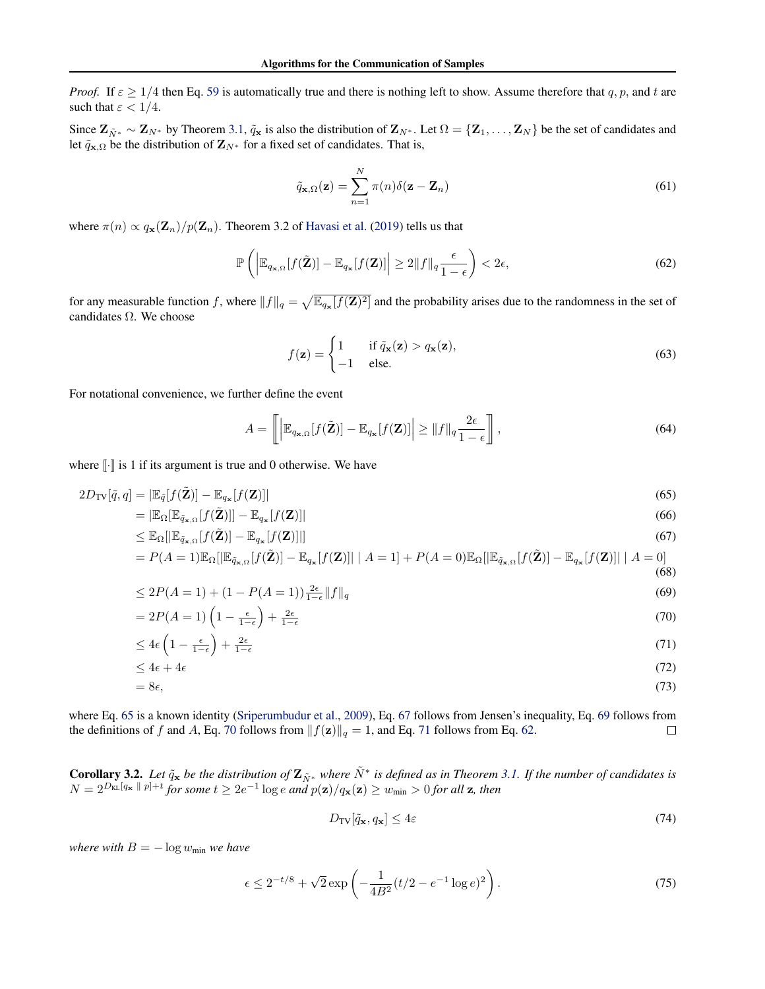*Proof.* If  $\varepsilon \ge 1/4$  then Eq. [59](#page-12-0) is automatically true and there is nothing left to show. Assume therefore that q, p, and t are such that  $\varepsilon < 1/4$ .

Since  $\mathbf{Z}_{\tilde{N}^*} \sim \mathbf{Z}_{N^*}$  by Theorem [3.1,](#page-4-1)  $\tilde{q}_x$  is also the distribution of  $\mathbf{Z}_{N^*}$ . Let  $\Omega = {\mathbf{Z}_1, \ldots, \mathbf{Z}_N}$  be the set of candidates and let  $\tilde{q}_{\mathbf{x},\Omega}$  be the distribution of  $\mathbf{Z}_{N^*}$  for a fixed set of candidates. That is,

<span id="page-13-5"></span>
$$
\tilde{q}_{\mathbf{x},\Omega}(\mathbf{z}) = \sum_{n=1}^{N} \pi(n)\delta(\mathbf{z} - \mathbf{Z}_n)
$$
\n(61)

where  $\pi(n) \propto q_{\mathbf{x}}(\mathbf{Z}_n)/p(\mathbf{Z}_n)$ . Theorem 3.2 of [Havasi et al.](#page-9-0) [\(2019\)](#page-9-0) tells us that

$$
\mathbb{P}\left(\left|\mathbb{E}_{q_{\mathbf{x},\Omega}}[f(\tilde{\mathbf{Z}})]-\mathbb{E}_{q_{\mathbf{x}}}[f(\mathbf{Z})]\right|\geq 2\|f\|_{q}\frac{\epsilon}{1-\epsilon}\right)<2\epsilon,
$$
\n(62)

for any measurable function f, where  $||f||_q = \sqrt{\mathbb{E}_{q_x}[f(\mathbf{Z})^2]}$  and the probability arises due to the randomness in the set of candidates Ω. We choose

<span id="page-13-1"></span><span id="page-13-0"></span>
$$
f(\mathbf{z}) = \begin{cases} 1 & \text{if } \tilde{q}_{\mathbf{x}}(\mathbf{z}) > q_{\mathbf{x}}(\mathbf{z}), \\ -1 & \text{else.} \end{cases}
$$
(63)

For notational convenience, we further define the event

$$
A = \left[ \left| \mathbb{E}_{q_{\mathbf{x},\Omega}}[f(\tilde{\mathbf{Z}})] - \mathbb{E}_{q_{\mathbf{x}}}[f(\mathbf{Z})] \right| \ge ||f||_q \frac{2\epsilon}{1-\epsilon} \right],\tag{64}
$$

where  $\llbracket \cdot \rrbracket$  is 1 if its argument is true and 0 otherwise. We have

$$
2D_{\text{TV}}[\tilde{q}, q] = |\mathbb{E}_{\tilde{q}}[f(\tilde{\mathbf{Z}})] - \mathbb{E}_{q_{\mathbf{x}}}[f(\mathbf{Z})]| \tag{65}
$$

$$
= |\mathbb{E}_{\Omega}[\mathbb{E}_{\tilde{q}_{\mathbf{x},\Omega}}[f(\tilde{\mathbf{Z}})]] - \mathbb{E}_{q_{\mathbf{x}}}[f(\mathbf{Z})]| \tag{66}
$$

$$
\leq \mathbb{E}_{\Omega}[\mathbb{E}_{\tilde{q}_{\mathbf{x},\Omega}}[f(\tilde{\mathbf{Z}})] - \mathbb{E}_{q_{\mathbf{x}}}[f(\mathbf{Z})]]]
$$
\n(67)

$$
= P(A=1)\mathbb{E}_{\Omega}[\mathbb{E}_{\tilde{q}_{\mathbf{x},\Omega}}[f(\tilde{\mathbf{Z}})] - \mathbb{E}_{q_{\mathbf{x}}}[f(\mathbf{Z})]] \mid A=1] + P(A=0)\mathbb{E}_{\Omega}[\mathbb{E}_{\tilde{q}_{\mathbf{x},\Omega}}[f(\tilde{\mathbf{Z}})] - \mathbb{E}_{q_{\mathbf{x}}}[f(\mathbf{Z})]] \mid A=0]
$$
\n(68)

$$
\leq 2P(A=1) + (1 - P(A=1)) \frac{2\epsilon}{1 - \epsilon} ||f||_q \tag{69}
$$

$$
=2P(A=1)\left(1-\frac{\epsilon}{1-\epsilon}\right)+\frac{2\epsilon}{1-\epsilon}\tag{70}
$$

$$
\leq 4\epsilon \left(1 - \frac{\epsilon}{1 - \epsilon}\right) + \frac{2\epsilon}{1 - \epsilon} \tag{71}
$$

$$
\leq 4\epsilon + 4\epsilon \tag{72}
$$

$$
=8\epsilon,\tag{73}
$$

where Eq. [65](#page-13-0) is a known identity [\(Sriperumbudur et al.,](#page-9-24) [2009\)](#page-9-24), Eq. [67](#page-13-1) follows from Jensen's inequality, Eq. [69](#page-13-2) follows from the definitions of f and A, Eq. [70](#page-13-3) follows from  $||f(\mathbf{z})||_q = 1$ , and Eq. [71](#page-13-4) follows from Eq. [62.](#page-13-5)  $\Box$ 

**Corollary 3.2.** Let  $\tilde{q}_x$  be the distribution of  $\mathbf{Z}_{\tilde{N}^*}$  where  $\tilde{N}^*$  is defined as in Theorem [3.1.](#page-4-1) If the number of candidates is  $N = 2^{D_{\text{KL}}[q_{\textbf{x}} \parallel p] + t}$  for some  $t \geq 2e^{-1}\log e$  and  $p(\textbf{z})/q_{\textbf{x}}(\textbf{z}) \geq w_{\text{min}} > 0$  for all  $\textbf{z}$ , then

<span id="page-13-4"></span><span id="page-13-3"></span><span id="page-13-2"></span>
$$
D_{\rm TV}[\tilde{q}_{\mathbf{x}}, q_{\mathbf{x}}] \le 4\varepsilon \tag{74}
$$

*where with*  $B = -\log w_{\text{min}}$  *we have* 

$$
\epsilon \le 2^{-t/8} + \sqrt{2} \exp\left(-\frac{1}{4B^2}(t/2 - e^{-1}\log e)^2\right). \tag{75}
$$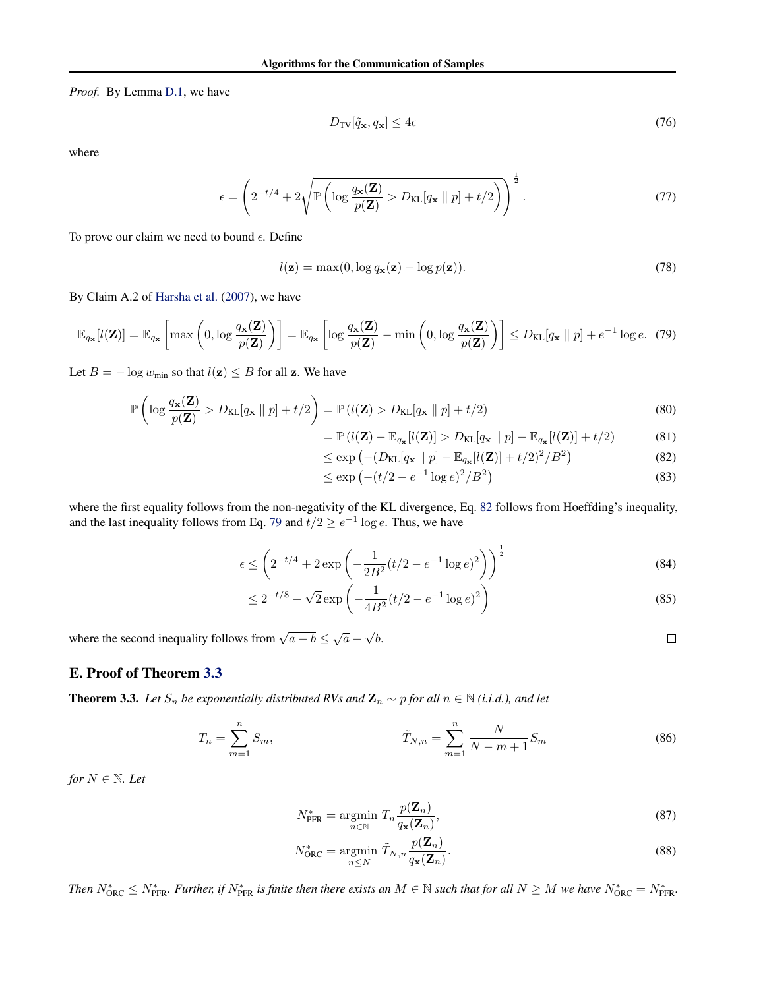*Proof.* By Lemma [D.1,](#page-12-1) we have

$$
D_{\rm TV}[\tilde{q}_{\mathbf{x}}, q_{\mathbf{x}}] \le 4\epsilon \tag{76}
$$

where

$$
\epsilon = \left(2^{-t/4} + 2\sqrt{\mathbb{P}\left(\log\frac{q_{\mathbf{x}}(\mathbf{Z})}{p(\mathbf{Z})} > D_{\text{KL}}[q_{\mathbf{x}} \parallel p] + t/2\right)}\right)^{\frac{1}{2}}.
$$
\n(77)

To prove our claim we need to bound  $\epsilon$ . Define

$$
l(\mathbf{z}) = \max(0, \log q_{\mathbf{x}}(\mathbf{z}) - \log p(\mathbf{z})).
$$
\n(78)

By Claim A.2 of [Harsha et al.](#page-9-3) [\(2007\)](#page-9-3), we have

$$
\mathbb{E}_{q_{\mathbf{x}}}[l(\mathbf{Z})] = \mathbb{E}_{q_{\mathbf{x}}}\left[\max\left(0, \log \frac{q_{\mathbf{x}}(\mathbf{Z})}{p(\mathbf{Z})}\right)\right] = \mathbb{E}_{q_{\mathbf{x}}}\left[\log \frac{q_{\mathbf{x}}(\mathbf{Z})}{p(\mathbf{Z})} - \min\left(0, \log \frac{q_{\mathbf{x}}(\mathbf{Z})}{p(\mathbf{Z})}\right)\right] \le D_{\text{KL}}[q_{\mathbf{x}} \parallel p] + e^{-1} \log e. \tag{79}
$$

Let  $B = -\log w_{\min}$  so that  $l(\mathbf{z}) \leq B$  for all z. We have

$$
\mathbb{P}\left(\log \frac{q_{\mathbf{x}}(\mathbf{Z})}{p(\mathbf{Z})} > D_{\mathrm{KL}}[q_{\mathbf{x}} \parallel p] + t/2\right) = \mathbb{P}\left(l(\mathbf{Z}) > D_{\mathrm{KL}}[q_{\mathbf{x}} \parallel p] + t/2\right)
$$
\n(80)

$$
= \mathbb{P}\left(l(\mathbf{Z}) - \mathbb{E}_{q_{\mathbf{x}}}[l(\mathbf{Z})] > D_{\mathrm{KL}}[q_{\mathbf{x}} \parallel p] - \mathbb{E}_{q_{\mathbf{x}}}[l(\mathbf{Z})] + t/2\right) \tag{81}
$$

$$
\leq \exp\left(-(D_{\text{KL}}[q_{\mathbf{x}} \parallel p] - \mathbb{E}_{q_{\mathbf{x}}}[l(\mathbf{Z})] + t/2)^2/B^2\right) \tag{82}
$$

$$
\leq \exp\left(-(t/2 - e^{-1}\log e)^2/B^2\right) \tag{83}
$$

<span id="page-14-1"></span><span id="page-14-0"></span> $\Box$ 

where the first equality follows from the non-negativity of the KL divergence, Eq. [82](#page-14-0) follows from Hoeffding's inequality, and the last inequality follows from Eq. [79](#page-14-1) and  $t/2 \ge e^{-1} \log e$ . Thus, we have

$$
\epsilon \le \left(2^{-t/4} + 2\exp\left(-\frac{1}{2B^2}(t/2 - e^{-1}\log e)^2\right)\right)^{\frac{1}{2}}
$$
(84)

$$
\leq 2^{-t/8} + \sqrt{2} \exp\left(-\frac{1}{4B^2}(t/2 - e^{-1}\log e)^2\right) \tag{85}
$$

where the second inequality follows from  $\sqrt{a+b} \leq \sqrt{a}$  + √ b.

## E. Proof of Theorem [3.3](#page-4-4)

**Theorem 3.3.** *Let*  $S_n$  *be exponentially distributed RVs and*  $\mathbf{Z}_n$  ∼ *p for all*  $n \in \mathbb{N}$  (*i.i.d.*), and let

$$
T_n = \sum_{m=1}^n S_m, \qquad \tilde{T}_{N,n} = \sum_{m=1}^n \frac{N}{N-m+1} S_m \qquad (86)
$$

*for*  $N \in \mathbb{N}$ *. Let* 

$$
N_{\text{PFR}}^{*} = \underset{n \in \mathbb{N}}{\operatorname{argmin}} \ T_{n} \frac{p(\mathbf{Z}_{n})}{q_{\mathbf{x}}(\mathbf{Z}_{n})},\tag{87}
$$

$$
N_{\text{ORC}}^* = \underset{n \leq N}{\text{argmin}} \ \tilde{T}_{N,n} \frac{p(\mathbf{Z}_n)}{q_{\mathbf{x}}(\mathbf{Z}_n)}.
$$
\n(88)

*Then*  $N_{\text{ORC}}^* \leq N_{\text{PFR}}^*$ . *Further, if*  $N_{\text{PFR}}^*$  *is finite then there exists an*  $M \in \mathbb{N}$  *such that for all*  $N \geq M$  *we have*  $N_{\text{ORC}}^* = N_{\text{PFR}}^*$ .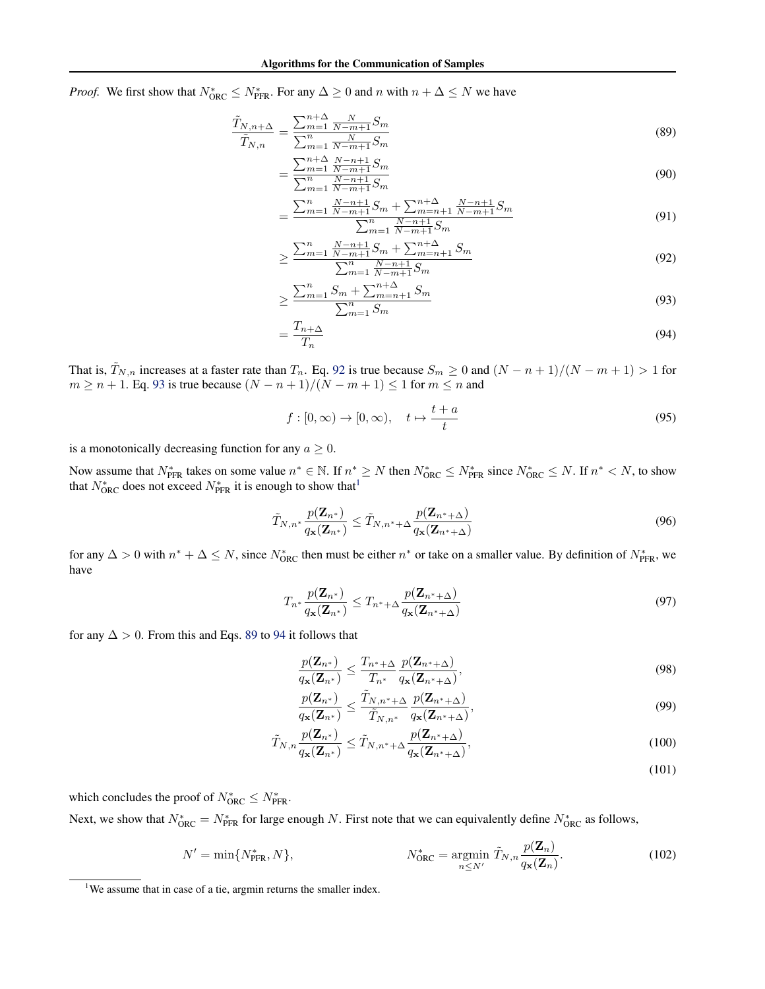*Proof.* We first show that  $N_{\text{ORC}}^* \leq N_{\text{PFR}}^*$ . For any  $\Delta \geq 0$  and n with  $n + \Delta \leq N$  we have

$$
\frac{\tilde{T}_{N,n+\Delta}}{\tilde{T}_{N,n}} = \frac{\sum_{m=1}^{n+\Delta} \frac{N}{N-m+1} S_m}{\sum_{m=1}^{n} \frac{N}{N-m+1} S_m}
$$
\n(89)

$$
=\frac{\sum_{m=1}^{n+\Delta} \frac{N-n+1}{N-m+1} S_m}{\sum_{m=1}^{n} \frac{N-n+1}{N-m+1} S_m}
$$
(90)

<span id="page-15-3"></span>
$$
=\frac{\sum_{m=1}^{n} \frac{N-n+1}{N-m+1} S_m + \sum_{m=n+1}^{n+\Delta} \frac{N-n+1}{N-m+1} S_m}{\sum_{m=1}^{n} \frac{N-n+1}{N-m+1} S_m}
$$
(91)

$$
\geq \frac{\sum_{m=1}^{n} \frac{N-n+1}{N-m+1} S_m + \sum_{m=n+1}^{n+\Delta} S_m}{\sum_{m=1}^{n} \frac{N-n+1}{N-m+1} S_m} \tag{92}
$$

<span id="page-15-4"></span><span id="page-15-1"></span><span id="page-15-0"></span>
$$
\geq \frac{\sum_{m=1}^{n} S_m + \sum_{m=n+1}^{n+\Delta} S_m}{\sum_{m=1}^{n} S_m} \tag{93}
$$

$$
=\frac{T_{n+\Delta}}{T_n} \tag{94}
$$

That is,  $\tilde{T}_{N,n}$  increases at a faster rate than  $T_n$ . Eq. [92](#page-15-0) is true because  $S_m \ge 0$  and  $(N - n + 1)/(N - m + 1) > 1$  for  $m \ge n + 1$ . Eq. [93](#page-15-1) is true because  $(N - n + 1)/(N - m + 1) \le 1$  for  $m \le n$  and

$$
f: [0, \infty) \to [0, \infty), \quad t \mapsto \frac{t+a}{t} \tag{95}
$$

is a monotonically decreasing function for any  $a \geq 0$ .

Now assume that  $N_{\text{PFR}}^*$  takes on some value  $n^* \in \mathbb{N}$ . If  $n^* \geq N$  then  $N_{\text{ORC}}^* \leq N_{\text{PFR}}^*$  since  $N_{\text{ORC}}^* \leq N$ . If  $n^* \leq N$ , to show that  $N_{\text{ORC}}^*$  does not exceed  $N_{\text{PFR}}^*$  it is enough to show that<sup>[1](#page-15-2)</sup>

$$
\widetilde{T}_{N,n^*} \frac{p(\mathbf{Z}_{n^*})}{q_\mathbf{x}(\mathbf{Z}_{n^*})} \leq \widetilde{T}_{N,n^*+\Delta} \frac{p(\mathbf{Z}_{n^*+\Delta})}{q_\mathbf{x}(\mathbf{Z}_{n^*+\Delta})}
$$
\n(96)

for any  $\Delta > 0$  with  $n^* + \Delta \leq N$ , since  $N_{ORC}^*$  then must be either  $n^*$  or take on a smaller value. By definition of  $N_{\text{PFR}}^*$ , we have

$$
T_{n^*} \frac{p(\mathbf{Z}_{n^*})}{q_{\mathbf{x}}(\mathbf{Z}_{n^*})} \leq T_{n^* + \Delta} \frac{p(\mathbf{Z}_{n^* + \Delta})}{q_{\mathbf{x}}(\mathbf{Z}_{n^* + \Delta})}
$$
(97)

for any  $\Delta > 0$ . From this and Eqs. [89](#page-15-3) to [94](#page-15-4) it follows that

$$
\frac{p(\mathbf{Z}_{n^*})}{q_\mathbf{x}(\mathbf{Z}_{n^*})} \le \frac{T_{n^*+\Delta}}{T_{n^*}} \frac{p(\mathbf{Z}_{n^*+\Delta})}{q_\mathbf{x}(\mathbf{Z}_{n^*+\Delta})},\tag{98}
$$

$$
\frac{p(\mathbf{Z}_{n^*})}{q_{\mathbf{x}}(\mathbf{Z}_{n^*})} \le \frac{\tilde{T}_{N,n^*+\Delta}}{\tilde{T}_{N,n^*}} \frac{p(\mathbf{Z}_{n^*+\Delta})}{q_{\mathbf{x}}(\mathbf{Z}_{n^*+\Delta})},\tag{99}
$$

$$
\tilde{T}_{N,n} \frac{p(\mathbf{Z}_{n^*})}{q_\mathbf{x}(\mathbf{Z}_{n^*})} \le \tilde{T}_{N,n^*+\Delta} \frac{p(\mathbf{Z}_{n^*+\Delta})}{q_\mathbf{x}(\mathbf{Z}_{n^*+\Delta})},\tag{100}
$$

(101)

which concludes the proof of  $N_{\text{ORC}}^* \leq N_{\text{PFR}}^*$ .

Next, we show that  $N_{\text{ORC}}^* = N_{\text{PFR}}^*$  for large enough N. First note that we can equivalently define  $N_{\text{ORC}}^*$  as follows,

$$
N' = \min\{N_{\text{PFR}}^*, N\}, \qquad N_{\text{ORC}}^* = \underset{n \le N'}{\operatorname{argmin}} \tilde{T}_{N,n} \frac{p(\mathbf{Z}_n)}{q_{\mathbf{x}}(\mathbf{Z}_n)}.
$$
(102)

<span id="page-15-2"></span><sup>&</sup>lt;sup>1</sup>We assume that in case of a tie, argmin returns the smaller index.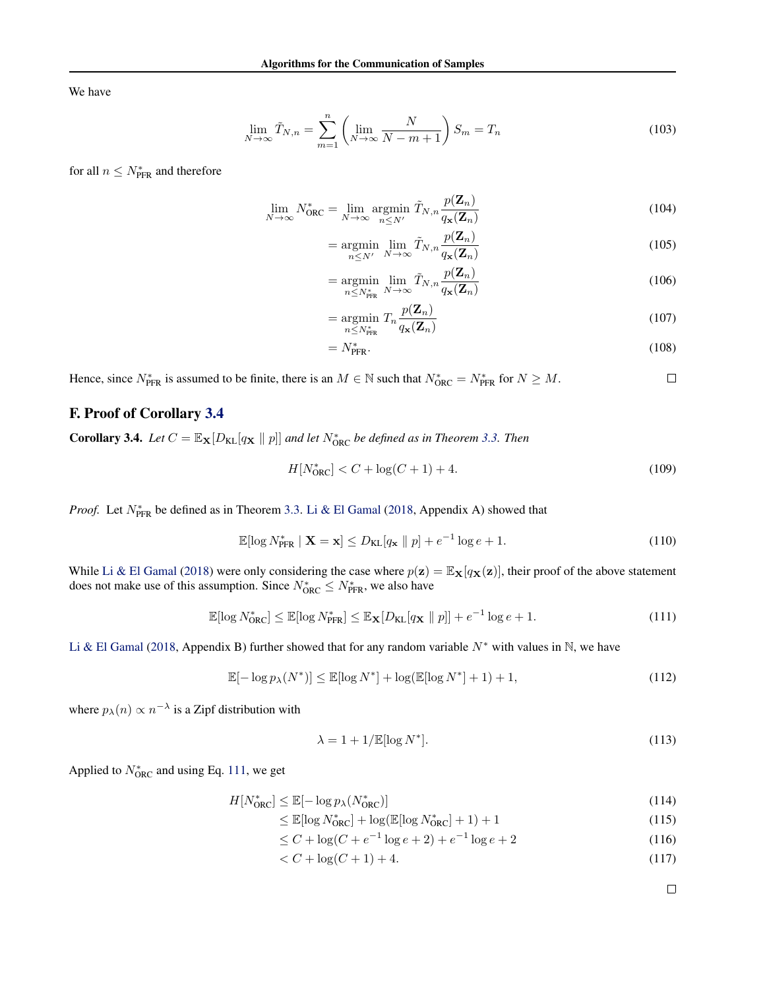We have

$$
\lim_{N \to \infty} \tilde{T}_{N,n} = \sum_{m=1}^{n} \left( \lim_{N \to \infty} \frac{N}{N-m+1} \right) S_m = T_n \tag{103}
$$

for all  $n \leq N^*_{\text{PFR}}$  and therefore

$$
\lim_{N \to \infty} N_{\text{ORC}}^* = \lim_{N \to \infty} \operatorname*{argmin}_{n \leq N'} \tilde{T}_{N,n} \frac{p(\mathbf{Z}_n)}{q_{\mathbf{x}}(\mathbf{Z}_n)}
$$
(104)

$$
= \underset{n \leq N'}{\text{argmin}} \lim_{N \to \infty} \tilde{T}_{N,n} \frac{p(\mathbf{Z}_n)}{q_\mathbf{x}(\mathbf{Z}_n)} \tag{105}
$$

$$
= \underset{n \le N_{\text{PFR}}^*}{\text{argmin}} \lim_{N \to \infty} \tilde{T}_{N,n} \frac{p(\mathbf{Z}_n)}{q_{\mathbf{x}}(\mathbf{Z}_n)}
$$
(106)

$$
= \underset{n \le N_{\text{PFR}}}{\text{argmin}} T_n \frac{p(\mathbf{Z}_n)}{q_\mathbf{x}(\mathbf{Z}_n)} \tag{107}
$$

$$
=N_{\text{PFR}}^*.\tag{108}
$$

Hence, since  $N_{\text{PFR}}^*$  is assumed to be finite, there is an  $M \in \mathbb{N}$  such that  $N_{\text{ORC}}^* = N_{\text{PFR}}^*$  for  $N \geq M$ .  $\Box$ 

## F. Proof of Corollary [3.4](#page-4-6)

**Corollary 3.4.** Let  $C = \mathbb{E}_{\mathbf{X}}[D_{\text{KL}}[q_{\mathbf{X}} \parallel p]]$  and let  $N_{\text{ORC}}^*$  be defined as in Theorem [3.3.](#page-4-4) Then

$$
H[N_{\text{ORC}}^*] < C + \log(C+1) + 4. \tag{109}
$$

*Proof.* Let  $N_{\text{PFR}}^*$  be defined as in Theorem [3.3.](#page-4-4) [Li & El Gamal](#page-9-2) [\(2018,](#page-9-2) Appendix A) showed that

$$
\mathbb{E}[\log N_{\text{PFR}}^* \mid \mathbf{X} = \mathbf{x}] \le D_{\text{KL}}[q_{\mathbf{x}} \parallel p] + e^{-1} \log e + 1. \tag{110}
$$

While [Li & El Gamal](#page-9-2) [\(2018\)](#page-9-2) were only considering the case where  $p(z) = \mathbb{E}_{\mathbf{X}}[q_{\mathbf{X}}(z)]$ , their proof of the above statement does not make use of this assumption. Since  $N_{\text{ORC}}^* \le N_{\text{PFR}}^*$ , we also have

$$
\mathbb{E}[\log N_{\text{ORC}}^*] \le \mathbb{E}[\log N_{\text{PFR}}^*] \le \mathbb{E}_{\mathbf{X}}[D_{\text{KL}}[q_{\mathbf{X}} \parallel p]] + e^{-1} \log e + 1. \tag{111}
$$

[Li & El Gamal](#page-9-2) [\(2018,](#page-9-2) Appendix B) further showed that for any random variable  $N^*$  with values in N, we have

$$
\mathbb{E}[-\log p_{\lambda}(N^*)] \le \mathbb{E}[\log N^*] + \log(\mathbb{E}[\log N^*] + 1) + 1,
$$
\n(112)

where  $p_{\lambda}(n) \propto n^{-\lambda}$  is a Zipf distribution with

$$
\lambda = 1 + 1/\mathbb{E}[\log N^*].\tag{113}
$$

Applied to  $N_{\text{ORC}}^*$  and using Eq. [111,](#page-16-0) we get

$$
H[N_{\text{ORC}}^*] \le \mathbb{E}[-\log p_\lambda(N_{\text{ORC}}^*)]
$$
\n(114)

$$
\leq \mathbb{E}[\log N_{\text{ORC}}^*] + \log(\mathbb{E}[\log N_{\text{ORC}}^*] + 1) + 1 \tag{115}
$$

 $\leq C + \log(C + e^{-1}\log e + 2) + e^{-1}\log e + 2$  (116)

$$
\langle C + \log(C + 1) + 4. \tag{117}
$$

<span id="page-16-0"></span> $\Box$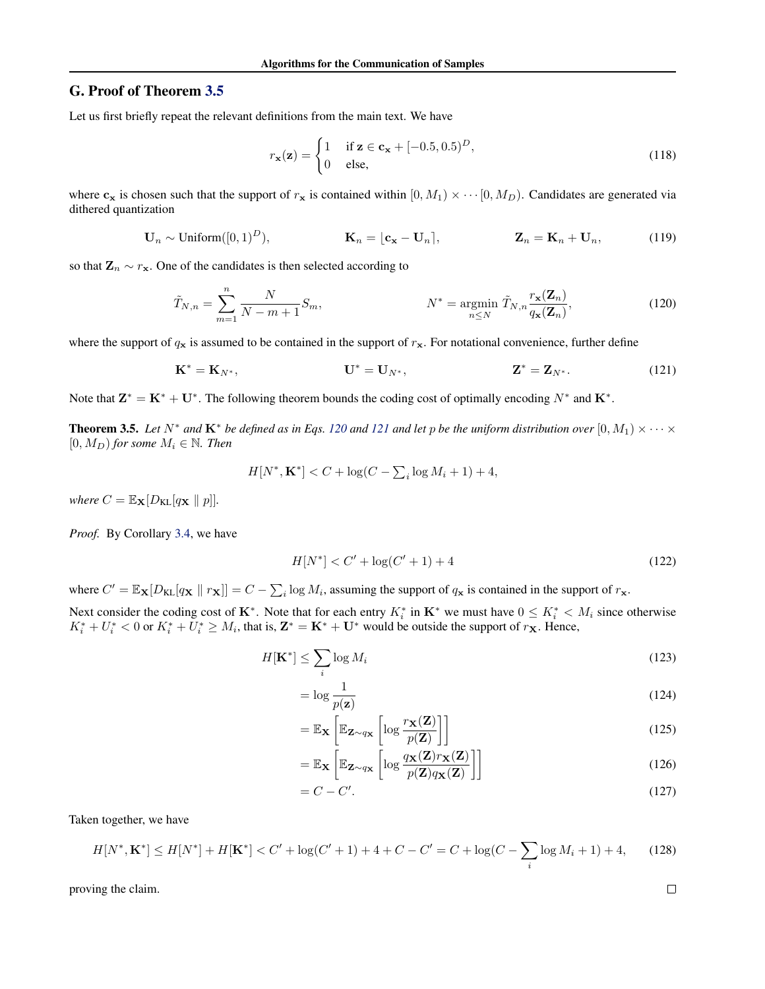## G. Proof of Theorem [3.5](#page-6-2)

Let us first briefly repeat the relevant definitions from the main text. We have

<span id="page-17-0"></span>
$$
r_{\mathbf{x}}(\mathbf{z}) = \begin{cases} 1 & \text{if } \mathbf{z} \in \mathbf{c}_{\mathbf{x}} + [-0.5, 0.5)^D, \\ 0 & \text{else,} \end{cases} \tag{118}
$$

where  $c_x$  is chosen such that the support of  $r_x$  is contained within  $[0, M_1) \times \cdots [0, M_D)$ . Candidates are generated via dithered quantization

$$
\mathbf{U}_n \sim \text{Uniform}([0,1)^D), \qquad \qquad \mathbf{K}_n = \lfloor \mathbf{c_x} - \mathbf{U}_n \rfloor, \qquad \qquad \mathbf{Z}_n = \mathbf{K}_n + \mathbf{U}_n, \qquad (119)
$$

so that  $\mathbf{Z}_n \sim r_{\mathbf{x}}$ . One of the candidates is then selected according to

$$
\tilde{T}_{N,n} = \sum_{m=1}^{n} \frac{N}{N-m+1} S_m, \qquad N^* = \operatorname*{argmin}_{n \leq N} \tilde{T}_{N,n} \frac{r_{\mathbf{x}}(\mathbf{Z}_n)}{q_{\mathbf{x}}(\mathbf{Z}_n)}, \qquad (120)
$$

where the support of  $q_x$  is assumed to be contained in the support of  $r_x$ . For notational convenience, further define

$$
K^* = K_{N^*}, \t\t U^* = U_{N^*}, \t\t Z^* = Z_{N^*}.
$$
 (121)

Note that  $\mathbf{Z}^* = \mathbf{K}^* + \mathbf{U}^*$ . The following theorem bounds the coding cost of optimally encoding  $N^*$  and  $\mathbf{K}^*$ .

**Theorem 3.5.** Let  $N^*$  and  $\mathbf{K}^*$  be defined as in Eqs. [120](#page-17-0) and [121](#page-17-1) and let p be the uniform distribution over  $[0, M_1) \times \cdots \times$  $[0, M_D)$  *for some*  $M_i \in \mathbb{N}$ *. Then* 

$$
H[N^*, \mathbf{K}^*] < C + \log(C - \sum_{i} \log M_i + 1) + 4,
$$

*where*  $C = \mathbb{E}_{\mathbf{X}}[D_{\mathrm{KL}}[q_{\mathbf{X}} \parallel p]].$ 

*Proof.* By Corollary [3.4,](#page-4-6) we have

<span id="page-17-1"></span>
$$
H[N^*] < C' + \log(C' + 1) + 4 \tag{122}
$$

where  $C' = \mathbb{E}_{\mathbf{X}}[D_{\text{KL}}[q_{\mathbf{X}} \mid r_{\mathbf{X}}]] = C - \sum_i \log M_i$ , assuming the support of  $q_{\mathbf{x}}$  is contained in the support of  $r_{\mathbf{x}}$ .

Next consider the coding cost of K<sup>\*</sup>. Note that for each entry  $K_i^*$  in K<sup>\*</sup> we must have  $0 \le K_i^* < M_i$  since otherwise  $K_i^* + U_i^* < 0$  or  $K_i^* + U_i^* \ge M_i$ , that is,  $\mathbf{Z}^* = \mathbf{K}^* + \mathbf{U}^*$  would be outside the support of  $r_{\mathbf{X}}$ . Hence,

$$
H[\mathbf{K}^*] \le \sum_i \log M_i \tag{123}
$$

$$
= \log \frac{1}{p(\mathbf{z})}
$$
\n(124)

$$
= \mathbb{E}_{\mathbf{X}} \left[ \mathbb{E}_{\mathbf{Z} \sim q_{\mathbf{X}}} \left[ \log \frac{r_{\mathbf{X}}(\mathbf{Z})}{p(\mathbf{Z})} \right] \right]
$$
(125)

$$
= \mathbb{E}_{\mathbf{X}} \left[ \mathbb{E}_{\mathbf{Z} \sim q_{\mathbf{X}}} \left[ \log \frac{q_{\mathbf{X}}(\mathbf{Z}) r_{\mathbf{X}}(\mathbf{Z})}{p(\mathbf{Z}) q_{\mathbf{X}}(\mathbf{Z})} \right] \right]
$$
(126)

$$
=C-C'.
$$
\n<sup>(127)</sup>

Taken together, we have

$$
H[N^*, \mathbf{K}^*] \le H[N^*] + H[\mathbf{K}^*] < C' + \log(C' + 1) + 4 + C - C' = C + \log(C - \sum_i \log M_i + 1) + 4,\tag{128}
$$

proving the claim.

$$
\Box
$$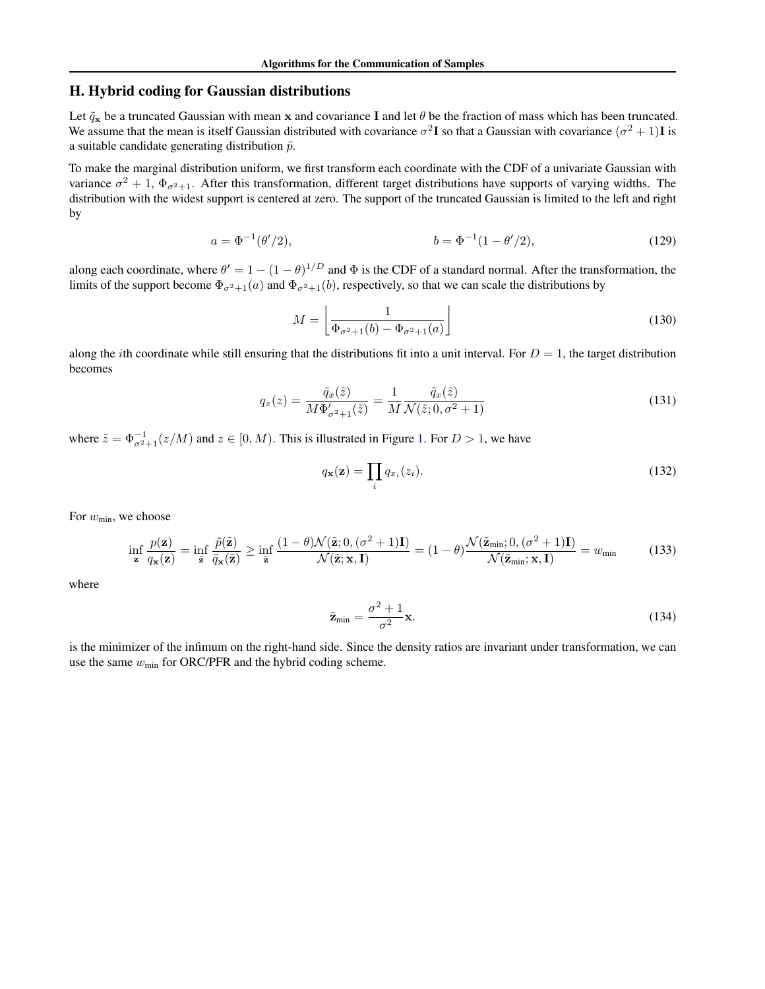## H. Hybrid coding for Gaussian distributions

Let  $\tilde{q}_x$  be a truncated Gaussian with mean x and covariance I and let  $\theta$  be the fraction of mass which has been truncated. We assume that the mean is itself Gaussian distributed with covariance  $\sigma^2 I$  so that a Gaussian with covariance  $(\sigma^2 + 1)I$  is a suitable candidate generating distribution  $\tilde{p}$ .

To make the marginal distribution uniform, we first transform each coordinate with the CDF of a univariate Gaussian with variance  $\sigma^2 + 1$ ,  $\Phi_{\sigma^2+1}$ . After this transformation, different target distributions have supports of varying widths. The distribution with the widest support is centered at zero. The support of the truncated Gaussian is limited to the left and right by

$$
a = \Phi^{-1}(\theta'/2), \qquad b = \Phi^{-1}(1 - \theta'/2), \tag{129}
$$

along each coordinate, where  $\theta' = 1 - (1 - \theta)^{1/D}$  and  $\Phi$  is the CDF of a standard normal. After the transformation, the limits of the support become  $\Phi_{\sigma^2+1}(a)$  and  $\Phi_{\sigma^2+1}(b)$ , respectively, so that we can scale the distributions by

$$
M = \left\lfloor \frac{1}{\Phi_{\sigma^2 + 1}(b) - \Phi_{\sigma^2 + 1}(a)} \right\rfloor \tag{130}
$$

along the *i*th coordinate while still ensuring that the distributions fit into a unit interval. For  $D = 1$ , the target distribution becomes

$$
q_x(z) = \frac{\tilde{q}_x(\tilde{z})}{M\Phi_{\sigma^2+1}'(\tilde{z})} = \frac{1}{M} \frac{\tilde{q}_x(\tilde{z})}{\mathcal{N}(\tilde{z}; 0, \sigma^2 + 1)}
$$
(131)

where  $\tilde{z} = \Phi_{\sigma^2+1}^{-1}(z/M)$  and  $z \in [0, M)$ . This is illustrated in Figure [1.](#page-6-3) For  $D > 1$ , we have

$$
q_{\mathbf{x}}(\mathbf{z}) = \prod_i q_{x_i}(z_i). \tag{132}
$$

For  $w_{\text{min}}$ , we choose

$$
\inf_{\mathbf{z}} \frac{p(\mathbf{z})}{q_{\mathbf{x}}(\mathbf{z})} = \inf_{\mathbf{\tilde{z}}} \frac{\tilde{p}(\tilde{\mathbf{z}})}{\tilde{q}_{\mathbf{x}}(\tilde{\mathbf{z}})} \ge \inf_{\mathbf{\tilde{z}}} \frac{(1-\theta)\mathcal{N}(\tilde{\mathbf{z}}; 0, (\sigma^2+1)\mathbf{I})}{\mathcal{N}(\tilde{\mathbf{z}}; \mathbf{x}, \mathbf{I})} = (1-\theta)\frac{\mathcal{N}(\tilde{\mathbf{z}}_{\min}; 0, (\sigma^2+1)\mathbf{I})}{\mathcal{N}(\tilde{\mathbf{z}}_{\min}; \mathbf{x}, \mathbf{I})} = w_{\min}
$$
(133)

where

$$
\tilde{\mathbf{z}}_{\min} = \frac{\sigma^2 + 1}{\sigma^2} \mathbf{x}.\tag{134}
$$

is the minimizer of the infimum on the right-hand side. Since the density ratios are invariant under transformation, we can use the same  $w_{\text{min}}$  for ORC/PFR and the hybrid coding scheme.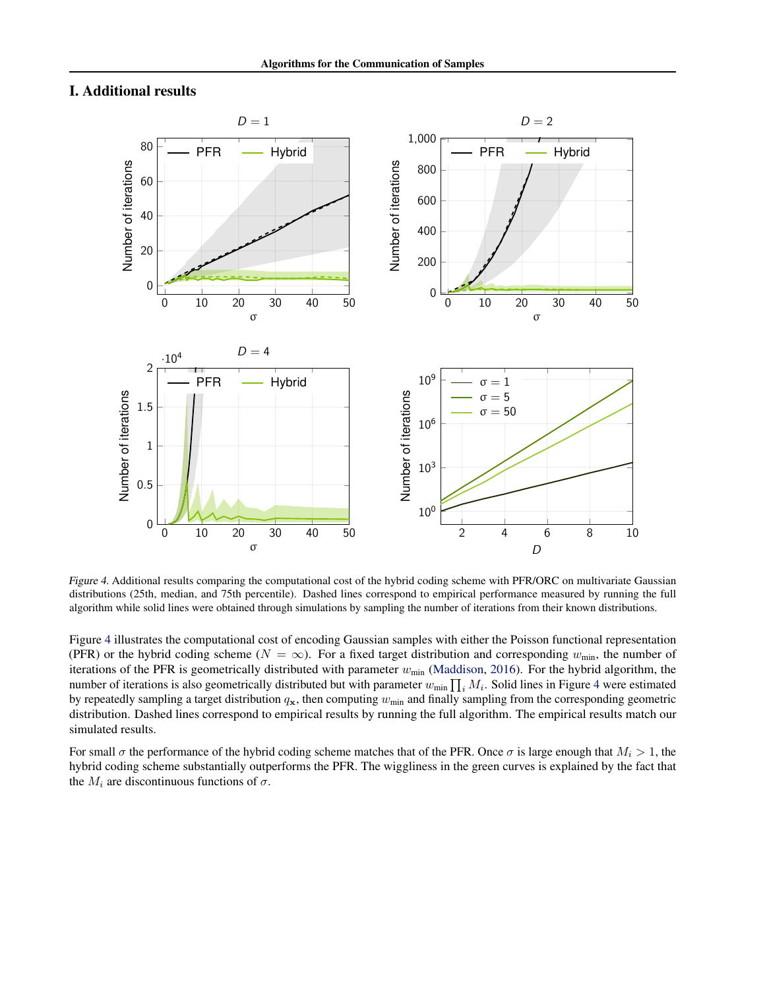## <span id="page-19-0"></span>I. Additional results



<span id="page-19-1"></span>Figure 4. Additional results comparing the computational cost of the hybrid coding scheme with PFR/ORC on multivariate Gaussian distributions (25th, median, and 75th percentile). Dashed lines correspond to empirical performance measured by running the full algorithm while solid lines were obtained through simulations by sampling the number of iterations from their known distributions.

Figure [4](#page-19-1) illustrates the computational cost of encoding Gaussian samples with either the Poisson functional representation (PFR) or the hybrid coding scheme ( $N = \infty$ ). For a fixed target distribution and corresponding  $w_{min}$ , the number of iterations of the PFR is geometrically distributed with parameter  $w_{\text{min}}$  [\(Maddison,](#page-9-12) [2016\)](#page-9-12). For the hybrid algorithm, the number of iterations is also geometrically distributed but with parameter  $w_{\min} \prod_i M_i$ . Solid lines in Figure [4](#page-19-1) were estimated by repeatedly sampling a target distribution  $q_x$ , then computing  $w_{min}$  and finally sampling from the corresponding geometric distribution. Dashed lines correspond to empirical results by running the full algorithm. The empirical results match our simulated results.

For small  $\sigma$  the performance of the hybrid coding scheme matches that of the PFR. Once  $\sigma$  is large enough that  $M_i > 1$ , the hybrid coding scheme substantially outperforms the PFR. The wiggliness in the green curves is explained by the fact that the  $M_i$  are discontinuous functions of  $\sigma$ .